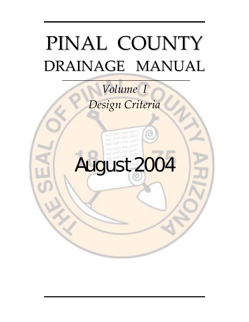## PINAL COUNTY DRAINAGE MANUAL

## $Volume$ <sup>*I*</sup> *Design Criteria*

# August 2004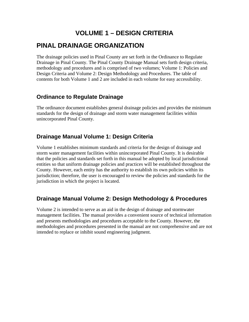## **VOLUME 1 – DESIGN CRITERIA**

## **PINAL DRAINAGE ORGANIZATION**

The drainage policies used in Pinal County are set forth in the Ordinance to Regulate Drainage in Pinal County. The Pinal County Drainage Manual sets forth design criteria, methodology and procedures and is comprised of two volumes; Volume 1: Policies and Design Criteria and Volume 2: Design Methodology and Procedures. The table of contents for both Volume 1 and 2 are included in each volume for easy accessibility.

#### **Ordinance to Regulate Drainage**

The ordinance document establishes general drainage policies and provides the minimum standards for the design of drainage and storm water management facilities within unincorporated Pinal County.

#### **Drainage Manual Volume 1: Design Criteria**

Volume 1 establishes minimum standards and criteria for the design of drainage and storm water management facilities within unincorporated Pinal County. It is desirable that the policies and standards set forth in this manual be adopted by local jurisdictional entities so that uniform drainage policies and practices will be established throughout the County. However, each entity has the authority to establish its own policies within its jurisdiction; therefore, the user is encouraged to review the policies and standards for the jurisdiction in which the project is located.

## **Drainage Manual Volume 2: Design Methodology & Procedures**

Volume 2 is intended to serve as an aid in the design of drainage and stormwater management facilities. The manual provides a convenient source of technical information and presents methodologies and procedures acceptable to the County. However, the methodologies and procedures presented in the manual are not comprehensive and are not intended to replace or inhibit sound engineering judgment.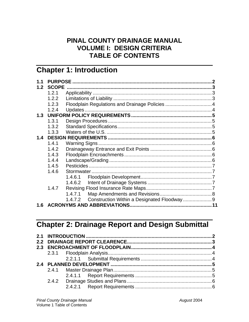## PINAL COUNTY DRAINAGE MANUAL **VOLUME I: DESIGN CRITERIA TABLE OF CONTENTS**

## **Chapter 1: Introduction**

| $1\quad 1$ |              |                                                   |  |
|------------|--------------|---------------------------------------------------|--|
| 1.2        | <b>SCOPE</b> |                                                   |  |
|            | 1.2.1        |                                                   |  |
|            | 1.2.2        |                                                   |  |
|            | 1.2.3        | Floodplain Regulations and Drainage Policies  4   |  |
|            | 1.2.4        |                                                   |  |
| 1.3        |              |                                                   |  |
|            | 1.3.1        |                                                   |  |
|            | 1.3.2        |                                                   |  |
|            | 1.3.3        |                                                   |  |
| 1.4        |              |                                                   |  |
|            | 1.4.1        |                                                   |  |
|            | 1.4.2        |                                                   |  |
|            | 1.4.3        |                                                   |  |
|            | 1.4.4        |                                                   |  |
|            | 1.4.5        |                                                   |  |
|            | 1.4.6        |                                                   |  |
|            |              | 1.4.6.1                                           |  |
|            |              | 1.4.6.2                                           |  |
|            | 1.4.7        |                                                   |  |
|            |              | 1.4.7.1                                           |  |
|            |              | 1.4.7.2 Construction Within a Designated Floodway |  |
| 1.6        |              |                                                   |  |

## **Chapter 2: Drainage Report and Design Submittal**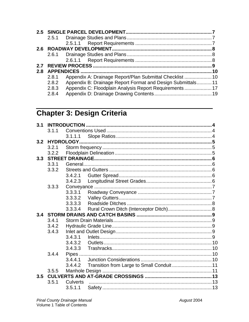| 2.8 |       |                                                            |  |
|-----|-------|------------------------------------------------------------|--|
|     | 2.8.1 |                                                            |  |
|     | 2.8.2 | Appendix B: Drainage Report Format and Design Submittals11 |  |
|     | 2.8.3 |                                                            |  |
|     | 2.8.4 |                                                            |  |

## Chapter 3: Design Criteria

| 3.1 |       |                   |                                            |  |  |  |
|-----|-------|-------------------|--------------------------------------------|--|--|--|
|     | 3.1.1 |                   |                                            |  |  |  |
|     |       | 3.1.1.1           |                                            |  |  |  |
| 3.2 |       | <b>HYDROLOGY.</b> |                                            |  |  |  |
|     | 3.2.1 |                   |                                            |  |  |  |
|     | 3.2.2 |                   |                                            |  |  |  |
| 3.3 |       |                   |                                            |  |  |  |
|     | 3.3.1 |                   |                                            |  |  |  |
|     | 3.3.2 |                   |                                            |  |  |  |
|     |       | 3.4.2.1           |                                            |  |  |  |
|     |       | 3.4.2.3           |                                            |  |  |  |
|     | 3.3.3 |                   |                                            |  |  |  |
|     |       | 3.3.3.1           |                                            |  |  |  |
|     |       | 3.3.3.2           |                                            |  |  |  |
|     |       | 3.3.3.3           |                                            |  |  |  |
|     |       | 3.3.3.4           | Rural Crown Ditch (Interceptor Ditch) 8    |  |  |  |
| 3.4 |       |                   |                                            |  |  |  |
|     | 3.4.1 |                   |                                            |  |  |  |
|     | 3.4.2 |                   |                                            |  |  |  |
|     | 3.4.3 |                   |                                            |  |  |  |
|     |       | 3.4.3.1           |                                            |  |  |  |
|     |       | 3.4.3.2           |                                            |  |  |  |
|     |       | 3.4.3.3           |                                            |  |  |  |
|     | 3.4.4 |                   |                                            |  |  |  |
|     |       | 3.4.4.1           |                                            |  |  |  |
|     |       | 3.4.4.2           | Transition from Large to Small Conduit  11 |  |  |  |
|     | 3.5.5 |                   |                                            |  |  |  |
| 3.5 |       |                   |                                            |  |  |  |
|     | 3.5.1 | <b>Culverts</b>   |                                            |  |  |  |
|     |       | 3.5.1.1           |                                            |  |  |  |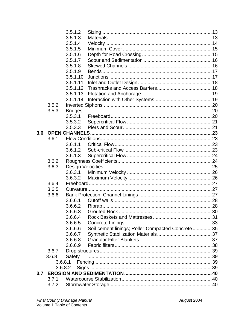|     |       | 3.5.1.2  |                                                  |     |
|-----|-------|----------|--------------------------------------------------|-----|
|     |       | 3.5.1.3  |                                                  |     |
|     |       | 3.5.1.4  |                                                  |     |
|     |       | 3.5.1.5  |                                                  |     |
|     |       | 3.5.1.6  |                                                  |     |
|     |       | 3.5.1.7  |                                                  |     |
|     |       | 3.5.1.8  |                                                  |     |
|     |       | 3.5.1.9  |                                                  |     |
|     |       | 3.5.1.10 |                                                  |     |
|     |       | 3.5.1.11 |                                                  |     |
|     |       | 3.5.1.12 |                                                  |     |
|     |       | 3.5.1.13 |                                                  |     |
|     |       | 3.5.1.14 |                                                  |     |
|     | 3.5.2 |          |                                                  |     |
|     | 3.5.3 |          |                                                  |     |
|     |       | 3.5.3.1  |                                                  |     |
|     |       | 3.5.3.2  |                                                  |     |
|     |       | 3.5.3.3  |                                                  |     |
| 3.6 |       |          |                                                  |     |
|     | 3.6.1 |          |                                                  |     |
|     |       | 3.6.1.1  |                                                  |     |
|     |       | 3.6.1.2  |                                                  |     |
|     |       | 3.6.1.3  |                                                  |     |
|     | 3.6.2 |          |                                                  |     |
|     | 3.6.3 |          |                                                  |     |
|     |       | 3.6.3.1  |                                                  |     |
|     |       | 3.6.3.2  |                                                  |     |
|     | 3.6.4 |          |                                                  |     |
|     | 3.6.5 |          |                                                  |     |
|     | 3.6.6 |          |                                                  |     |
|     |       | 3.6.6.1  |                                                  |     |
|     |       | 3.6.6.2  |                                                  |     |
|     |       |          | 3.6.6.3 Grouted Rock.                            | .30 |
|     |       | 3.6.6.4  |                                                  |     |
|     |       | 3.6.6.5  |                                                  |     |
|     |       | 3.6.6.6  | Soil-cement linings; Roller-Compacted Concrete35 |     |
|     |       | 3.6.6.7  |                                                  |     |
|     |       | 3.6.6.8  |                                                  |     |
|     |       | 3.6.6.9  |                                                  |     |
|     | 3.6.7 |          |                                                  |     |
|     | 3.6.8 | Safety   |                                                  |     |
|     |       | 3.6.8.1  |                                                  |     |
|     |       | 3.6.8.2  |                                                  |     |
| 3.7 |       |          |                                                  |     |
|     | 3.7.1 |          |                                                  |     |
|     | 3.7.2 |          |                                                  |     |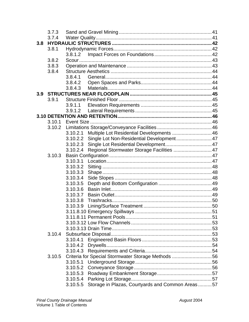|     | 3.7.3  |          |                                                    |  |  |
|-----|--------|----------|----------------------------------------------------|--|--|
|     | 3.7.4  |          |                                                    |  |  |
| 3.8 |        |          |                                                    |  |  |
|     | 3.8.1  |          |                                                    |  |  |
|     |        | 3.8.1.2  |                                                    |  |  |
|     | 3.8.2  |          |                                                    |  |  |
|     | 3.8.3  |          |                                                    |  |  |
|     | 3.8.4  |          |                                                    |  |  |
|     |        | 3.8.4.1  |                                                    |  |  |
|     |        | 3.8.4.2  |                                                    |  |  |
|     |        | 3.8.4.3  |                                                    |  |  |
| 3.9 |        |          |                                                    |  |  |
|     | 3.9.1  |          |                                                    |  |  |
|     |        | 3.9.1.1  |                                                    |  |  |
|     |        | 3.9.1.2  |                                                    |  |  |
|     |        |          |                                                    |  |  |
|     | 3.10.1 |          |                                                    |  |  |
|     | 3.10.2 |          |                                                    |  |  |
|     |        | 3.10.2.1 | Multiple Lot Residential Developments  46          |  |  |
|     |        | 3.10.2.2 | Single Lot Non-Residential Development 47          |  |  |
|     |        | 3.10.2.3 |                                                    |  |  |
|     |        | 3.10.2.4 | Regional Stormwater Storage Facilities  47         |  |  |
|     | 3.10.3 |          |                                                    |  |  |
|     |        |          |                                                    |  |  |
|     |        | 3.10.3.2 |                                                    |  |  |
|     |        | 3.10.3.3 |                                                    |  |  |
|     |        | 3.10.3.4 |                                                    |  |  |
|     |        | 3.10.3.5 |                                                    |  |  |
|     |        | 3.10.3.6 |                                                    |  |  |
|     |        | 3.10.3.7 |                                                    |  |  |
|     |        | 3.10.3.8 |                                                    |  |  |
|     |        | 3.10.3.9 |                                                    |  |  |
|     |        |          |                                                    |  |  |
|     |        |          |                                                    |  |  |
|     |        |          |                                                    |  |  |
|     |        |          |                                                    |  |  |
|     |        |          |                                                    |  |  |
|     |        | 3.10.4.1 |                                                    |  |  |
|     |        | 3.10.4.2 |                                                    |  |  |
|     |        |          |                                                    |  |  |
|     | 3.10.5 |          | Criteria for Special Stormwater Storage Methods 56 |  |  |
|     |        | 3.10.5.1 |                                                    |  |  |
|     |        | 3.10.5.2 |                                                    |  |  |
|     |        | 3.10.5.3 |                                                    |  |  |
|     |        | 3.10.5.4 |                                                    |  |  |
|     |        | 3.10.5.5 | Storage in Plazas, Courtyards and Common Areas57   |  |  |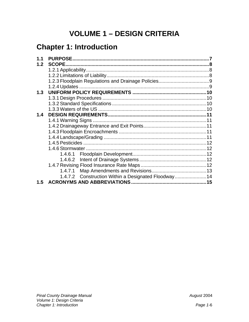## **VOLUME 1 - DESIGN CRITERIA**

## **Chapter 1: Introduction**

| 1.1 |                                                      |  |
|-----|------------------------------------------------------|--|
| 1.2 | <b>SCOPE</b>                                         |  |
|     |                                                      |  |
|     |                                                      |  |
|     |                                                      |  |
|     |                                                      |  |
| 1.3 |                                                      |  |
|     |                                                      |  |
|     |                                                      |  |
|     |                                                      |  |
| 1.4 |                                                      |  |
|     |                                                      |  |
|     |                                                      |  |
|     |                                                      |  |
|     |                                                      |  |
|     |                                                      |  |
|     |                                                      |  |
|     |                                                      |  |
|     |                                                      |  |
|     |                                                      |  |
|     |                                                      |  |
|     | 1.4.7.2 Construction Within a Designated Floodway 14 |  |
| 1.5 |                                                      |  |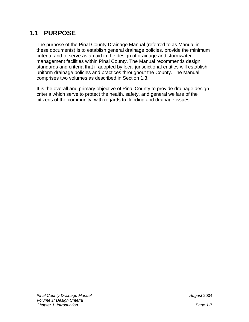## **1.1 PURPOSE**

The purpose of the Pinal County Drainage Manual (referred to as Manual in these documents) is to establish general drainage policies, provide the minimum criteria, and to serve as an aid in the design of drainage and stormwater management facilities within Pinal County. The Manual recommends design standards and criteria that if adopted by local jurisdictional entities will establish uniform drainage policies and practices throughout the County. The Manual comprises two volumes as described in Section 1.3.

It is the overall and primary objective of Pinal County to provide drainage design criteria which serve to protect the health, safety, and general welfare of the citizens of the community, with regards to flooding and drainage issues.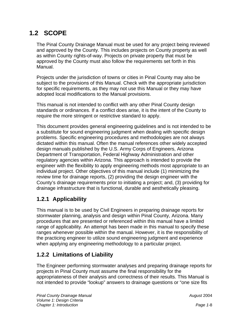## **1.2 SCOPE**

The Pinal County Drainage Manual must be used for any project being reviewed and approved by the County. This includes projects on County property as well as within County rights-of-way. Projects on private property that must be approved by the County must also follow the requirements set forth in this Manual.

Projects under the jurisdiction of towns or cities in Pinal County may also be subject to the provisions of this Manual. Check with the appropriate jurisdiction for specific requirements, as they may not use this Manual or they may have adopted local modifications to the Manual provisions.

This manual is not intended to conflict with any other Pinal County design standards or ordinances. If a conflict does arise, it is the intent of the County to require the more stringent or restrictive standard to apply.

This document provides general engineering guidelines and is not intended to be a substitute for sound engineering judgment when dealing with specific design problems. Specific engineering procedures and methodologies are not always dictated within this manual. Often the manual references other widely accepted design manuals published by the U.S. Army Corps of Engineers, Arizona Department of Transportation, Federal Highway Administration and other regulatory agencies within Arizona. This approach is intended to provide the engineer with the flexibility to apply engineering methods most appropriate to an individual project. Other objectives of this manual include (1) minimizing the review time for drainage reports, (2) providing the design engineer with the County's drainage requirements prior to initiating a project; and, (3) providing for drainage infrastructure that is functional, durable and aesthetically pleasing.

## **1.2.1 Applicability**

This manual is to be used by Civil Engineers in preparing drainage reports for stormwater planning, analysis and design within Pinal County, Arizona. Many procedures that are presented or referenced within this manual have a limited range of applicability. An attempt has been made in this manual to specify these ranges whenever possible within the manual. However, it is the responsibility of the practicing engineer to utilize sound engineering judgment and experience when applying any engineering methodology to a particular project.

## **1.2.2 Limitations of Liability**

The Engineer performing stormwater analyses and preparing drainage reports for projects in Pinal County must assume the final responsibility for the appropriateness of their analysis and correctness of their results. This Manual is not intended to provide "lookup" answers to drainage questions or "one size fits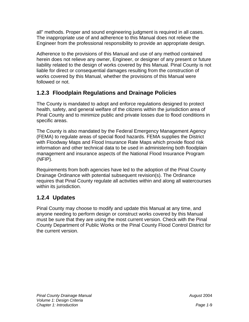all" methods. Proper and sound engineering judgment is required in all cases. The inappropriate use of and adherence to this Manual does not relieve the Engineer from the professional responsibility to provide an appropriate design.

Adherence to the provisions of this Manual and use of any method contained herein does not relieve any owner, Engineer, or designer of any present or future liability related to the design of works covered by this Manual. Pinal County is not liable for direct or consequential damages resulting from the construction of works covered by this Manual, whether the provisions of this Manual were followed or not.

## **1.2.3 Floodplain Regulations and Drainage Policies**

The County is mandated to adopt and enforce regulations designed to protect health, safety, and general welfare of the citizens within the jurisdiction area of Pinal County and to minimize public and private losses due to flood conditions in specific areas.

The County is also mandated by the Federal Emergency Management Agency (FEMA) to regulate areas of special flood hazards. FEMA supplies the District with Floodway Maps and Flood Insurance Rate Maps which provide flood risk information and other technical data to be used in administering both floodplain management and insurance aspects of the National Flood Insurance Program (NFIP).

Requirements from both agencies have led to the adoption of the Pinal County Drainage Ordinance with potential subsequent revision(s). The Ordinance requires that Pinal County regulate all activities within and along all watercourses within its jurisdiction.

## **1.2.4 Updates**

Pinal County may choose to modify and update this Manual at any time, and anyone needing to perform design or construct works covered by this Manual must be sure that they are using the most current version. Check with the Pinal County Department of Public Works or the Pinal County Flood Control District for the current version.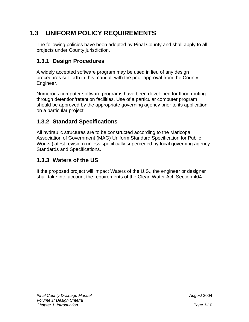## **1.3 UNIFORM POLICY REQUIREMENTS**

The following policies have been adopted by Pinal County and shall apply to all projects under County jurisdiction.

## **1.3.1 Design Procedures**

A widely accepted software program may be used in lieu of any design procedures set forth in this manual, with the prior approval from the County Engineer.

Numerous computer software programs have been developed for flood routing through detention/retention facilities. Use of a particular computer program should be approved by the appropriate governing agency prior to its application on a particular project.

#### **1.3.2 Standard Specifications**

All hydraulic structures are to be constructed according to the Maricopa Association of Government (MAG) Uniform Standard Specification for Public Works (latest revision) unless specifically superceded by local governing agency Standards and Specifications.

#### **1.3.3 Waters of the US**

If the proposed project will impact Waters of the U.S., the engineer or designer shall take into account the requirements of the Clean Water Act, Section 404.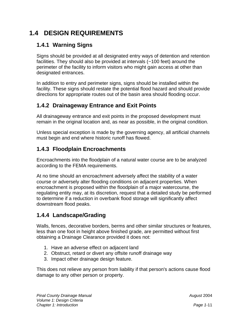## **1.4 DESIGN REQUIREMENTS**

## **1.4.1 Warning Signs**

Signs should be provided at all designated entry ways of detention and retention facilities. They should also be provided at intervals (~100 feet) around the perimeter of the facility to inform visitors who might gain access at other than designated entrances.

In addition to entry and perimeter signs, signs should be installed within the facility. These signs should restate the potential flood hazard and should provide directions for appropriate routes out of the basin area should flooding occur.

## **1.4.2 Drainageway Entrance and Exit Points**

All drainageway entrance and exit points in the proposed development must remain in the original location and, as near as possible, in the original condition.

Unless special exception is made by the governing agency, all artificial channels must begin and end where historic runoff has flowed.

## **1.4.3 Floodplain Encroachments**

Encroachments into the floodplain of a natural water course are to be analyzed according to the FEMA requirements.

At no time should an encroachment adversely affect the stability of a water course or adversely alter flooding conditions on adjacent properties. When encroachment is proposed within the floodplain of a major watercourse, the regulating entity may, at its discretion, request that a detailed study be performed to determine if a reduction in overbank flood storage will significantly affect downstream flood peaks.

## **1.4.4 Landscape/Grading**

Walls, fences, decorative borders, berms and other similar structures or features, less than one foot in height above finished grade, are permitted without first obtaining a Drainage Clearance provided it does not:

- 1. Have an adverse effect on adjacent land
- 2. Obstruct, retard or divert any offsite runoff drainage way
- 3. Impact other drainage design feature.

This does not relieve any person from liability if that person's actions cause flood damage to any other person or property.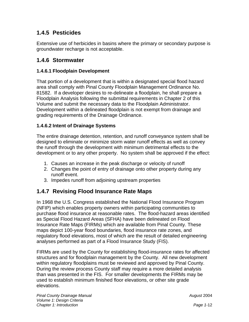#### **1.4.5 Pesticides**

Extensive use of herbicides in basins where the primary or secondary purpose is groundwater recharge is not acceptable.

#### **1.4.6 Stormwater**

#### **1.4.6.1 Floodplain Development**

That portion of a development that is within a designated special flood hazard area shall comply with Pinal County Floodplain Management Ordinance No. 81582. If a developer desires to re-delineate a floodplain, he shall prepare a Floodplain Analysis following the submittal requirements in Chapter 2 of this Volume and submit the necessary data to the Floodplain Administrator. Development within a delineated floodplain is not exempt from drainage and grading requirements of the Drainage Ordinance.

#### **1.4.6.2 Intent of Drainage Systems**

The entire drainage detention, retention, and runoff conveyance system shall be designed to eliminate or minimize storm water runoff effects as well as convey the runoff through the development with minimum detrimental effects to the development or to any other property. No system shall be approved if the effect:

- 1. Causes an increase in the peak discharge or velocity of runoff
- 2. Changes the point of entry of drainage onto other property during any runoff event.
- 3. Impedes runoff from adjoining upstream properties

#### **1.4.7 Revising Flood Insurance Rate Maps**

In 1968 the U.S. Congress established the National Flood Insurance Program (NFIP) which enables property owners within participating communities to purchase flood insurance at reasonable rates. The flood-hazard areas identified as Special Flood Hazard Areas (SFHA) have been delineated on Flood Insurance Rate Maps (FIRMs) which are available from Pinal County. These maps depict 100-year flood boundaries, flood insurance rate zones, and regulatory flood elevations, most of which are the result of detailed engineering analyses performed as part of a Flood Insurance Study (FIS).

FIRMs are used by the County for establishing flood-insurance rates for affected structures and for floodplain management by the County. All new development within regulatory floodplains must be reviewed and approved by Pinal County. During the review process County staff may require a more detailed analysis than was presented in the FIS. For smaller developments the FIRMs may be used to establish minimum finished floor elevations, or other site grade elevations.

*August* 2004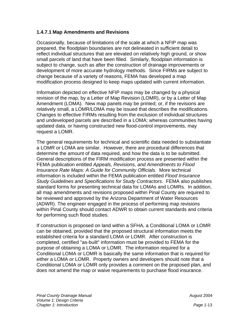#### **1.4.7.1 Map Amendments and Revisions**

Occasionally, because of limitations of the scale at which a NFIP map was prepared, the floodplain boundaries are not delineated in sufficient detail to reflect individual structures that are elevated on relatively high ground, or show small parcels of land that have been filled. Similarly, floodplain information is subject to change, such as after the construction of drainage improvements or development of more accurate hydrology methods. Since FIRMs are subject to change because of a variety of reasons, FEMA has developed a map modification process designed to keep maps updated with current information.

Information depicted on effective NFIP maps may be changed by a physical revision of the map, by a Letter of Map Revision (LOMR), or by a Letter of Map Amendment (LOMA). New map panels may be printed; or, if the revisions are relatively small, a LOMR/LOMA may be issued that describes the modifications. Changes to effective FIRMs resulting from the exclusion of individual structures and undeveloped parcels are described in a LOMA; whereas communities having updated data, or having constructed new flood-control improvements, may request a LOMR.

The general requirements for technical and scientific data needed to substantiate a LOMR or LOMA are similar. However, there are procedural differences that determine the amount of data required, and how the data is to be submitted. General descriptions of the FIRM modification process are presented within the FEMA publication entitled *Appeals, Revisions, and Amendments to Flood Insurance Rate Maps: A Guide for Community Officials*. More technical information is included within the FEMA publication entitled *Flood Insurance Study Guidelines and Specifications for Study Contractors*. FEMA also publishes standard forms for presenting technical data for LOMAs and LOMRs. In addition, all map amendments and revisions proposed within Pinal County are required to be reviewed and approved by the Arizona Department of Water Resources (ADWR). The engineer engaged in the process of performing map revisions within Pinal County should contact ADWR to obtain current standards and criteria for performing such flood studies.

If construction is proposed on land within a SFHA, a Conditional LOMA or LOMR can be obtained, provided that the proposed structural information meets the established criteria for a standard LOMA or LOMR. After construction is completed, certified "as-built" information must be provided to FEMA for the purpose of obtaining a LOMA or LOMR. The information required for a Conditional LOMA or LOMR is basically the same information that is required for either a LOMA or LOMR. Property owners and developers should note that a Conditional LOMA or LOMR only provides a comment on the proposed plan, and does not amend the map or waive requirements to purchase flood insurance.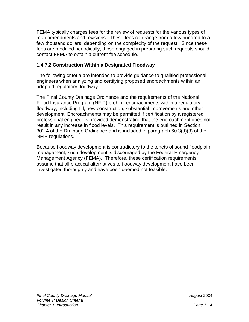FEMA typically charges fees for the review of requests for the various types of map amendments and revisions. These fees can range from a few hundred to a few thousand dollars, depending on the complexity of the request. Since these fees are modified periodically, those engaged in preparing such requests should contact FEMA to obtain a current fee schedule.

#### **1.4.7.2 Construction Within a Designated Floodway**

The following criteria are intended to provide guidance to qualified professional engineers when analyzing and certifying proposed encroachments within an adopted regulatory floodway.

The Pinal County Drainage Ordinance and the requirements of the National Flood Insurance Program (NFIP) prohibit encroachments within a regulatory floodway; including fill, new construction, substantial improvements and other development. Encroachments may be permitted if certification by a registered professional engineer is provided demonstrating that the encroachment does not result in any increase in flood levels. This requirement is outlined in Section 302.4 of the Drainage Ordinance and is included in paragraph 60.3(d)(3) of the NFIP regulations.

Because floodway development is contradictory to the tenets of sound floodplain management, such development is discouraged by the Federal Emergency Management Agency (FEMA). Therefore, these certification requirements assume that all practical alternatives to floodway development have been investigated thoroughly and have been deemed not feasible.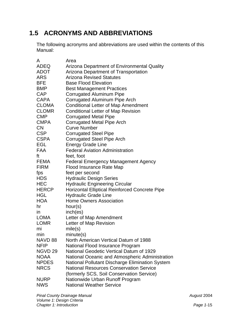## **1.5 ACRONYMS AND ABBREVIATIONS**

The following acronyms and abbreviations are used within the contents of this Manual:

| A                  | Area                                            |
|--------------------|-------------------------------------------------|
| <b>ADEQ</b>        | Arizona Department of Environmental Quality     |
| <b>ADOT</b>        | Arizona Department of Transportation            |
| <b>ARS</b>         | <b>Arizona Revised Statutes</b>                 |
| <b>BFE</b>         | <b>Base Flood Elevation</b>                     |
| <b>BMP</b>         | <b>Best Management Practices</b>                |
| <b>CAP</b>         | <b>Corrugated Aluminum Pipe</b>                 |
| <b>CAPA</b>        | Corrugated Aluminum Pipe Arch                   |
| <b>CLOMA</b>       | <b>Conditional Letter of Map Amendment</b>      |
| <b>CLOMR</b>       | <b>Conditional Letter of Map Revision</b>       |
| <b>CMP</b>         | <b>Corrugated Metal Pipe</b>                    |
| <b>CMPA</b>        | <b>Corrugated Metal Pipe Arch</b>               |
| <b>CN</b>          | <b>Curve Number</b>                             |
| <b>CSP</b>         | <b>Corrugated Steel Pipe</b>                    |
| <b>CSPA</b>        | <b>Corrugated Steel Pipe Arch</b>               |
| <b>EGL</b>         | <b>Energy Grade Line</b>                        |
| <b>FAA</b>         | <b>Federal Aviation Administration</b>          |
| ft                 | feet, foot                                      |
| FEMA               | <b>Federal Emergency Management Agency</b>      |
| <b>FIRM</b>        | Flood Insurance Rate Map                        |
| fps                | feet per second                                 |
| <b>HDS</b>         | <b>Hydraulic Design Series</b>                  |
| <b>HEC</b>         | <b>Hydraulic Engineering Circular</b>           |
| <b>HERCP</b>       | Horizontal Elliptical Reinforced Concrete Pipe  |
| <b>HGL</b>         | <b>Hydraulic Grade Line</b>                     |
| <b>HOA</b>         | <b>Home Owners Association</b>                  |
| hr                 | hour(s)                                         |
| <i>in</i>          | inch(es)                                        |
| LOMA               | Letter of Map Amendment                         |
| <b>LOMR</b>        | Letter of Map Revision                          |
| mi                 | mile(s)                                         |
| min                | minute(s)                                       |
| NAVD 88            | North American Vertical Datum of 1988           |
| <b>NFIP</b>        | National Flood Insurance Program                |
| NGVD <sub>29</sub> | National Geodetic Vertical Datum of 1929        |
| <b>NOAA</b>        | National Oceanic and Atmospheric Administration |
| <b>NPDES</b>       | National Pollutant Discharge Elimination System |
| <b>NRCS</b>        | <b>National Resources Conservation Service</b>  |
|                    | (formerly SCS, Soil Conservation Service)       |
| <b>NURP</b>        | Nationwide Urban Runoff Program                 |
| <b>NWS</b>         | <b>National Weather Service</b>                 |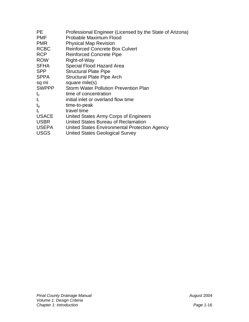| <b>PE</b>    | Professional Engineer (Licensed by the State of Arizona) |
|--------------|----------------------------------------------------------|
| <b>PMF</b>   | Probable Maximum Flood                                   |
| <b>PMR</b>   | <b>Physical Map Revision</b>                             |
| <b>RCBC</b>  | <b>Reinforced Concrete Box Culvert</b>                   |
| <b>RCP</b>   | <b>Reinforced Concrete Pipe</b>                          |
| <b>ROW</b>   | Right-of-Way                                             |
| <b>SFHA</b>  | Special Flood Hazard Area                                |
| <b>SPP</b>   | <b>Structural Plate Pipe</b>                             |
| <b>SPPA</b>  | <b>Structural Plate Pipe Arch</b>                        |
| sq mi        | square mile(s)                                           |
| <b>SWPPP</b> | <b>Storm Water Pollution Prevention Plan</b>             |
| $t_c$        | time of concentration                                    |
| t            | initial inlet or overland flow time                      |
| $t_{p}$      | time-to-peak                                             |
| t,           | travel time                                              |
| <b>USACE</b> | United States Army Corps of Engineers                    |
| <b>USBR</b>  | United States Bureau of Reclamation                      |
| <b>USEPA</b> | United States Environmental Protection Agency            |
| <b>USGS</b>  | <b>United States Geological Survey</b>                   |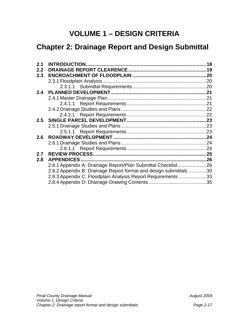## **VOLUME 1 – DESIGN CRITERIA**

## **Chapter 2: Drainage Report and Design Submittal**

| 2.1 |                                                                   | 18  |
|-----|-------------------------------------------------------------------|-----|
| 2.2 |                                                                   |     |
| 2.3 |                                                                   |     |
|     |                                                                   |     |
|     |                                                                   |     |
| 2.4 |                                                                   |     |
|     |                                                                   |     |
|     |                                                                   |     |
|     |                                                                   |     |
|     |                                                                   |     |
|     |                                                                   |     |
|     |                                                                   |     |
|     |                                                                   |     |
| 2.6 |                                                                   |     |
|     |                                                                   |     |
|     |                                                                   |     |
| 2.7 |                                                                   | .25 |
| 2.8 | <b>APPENDICES.</b>                                                |     |
|     | 2.8.1 Appendix A: Drainage Report/Plan Submittal Checklist26      |     |
|     | 2.8.2 Appendix B: Drainage Report format and design submittals 30 |     |
|     | 2.8.3 Appendix C: Floodplain Analysis Report Requirements 33      |     |
|     |                                                                   |     |
|     |                                                                   |     |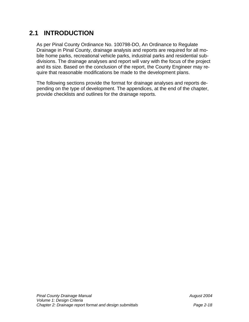## **2.1 INTRODUCTION**

As per Pinal County Ordinance No. 100798-DO, An Ordinance to Regulate Drainage in Pinal County, drainage analysis and reports are required for all mobile home parks, recreational vehicle parks, industrial parks and residential subdivisions. The drainage analyses and report will vary with the focus of the project and its size. Based on the conclusion of the report, the County Engineer may require that reasonable modifications be made to the development plans.

The following sections provide the format for drainage analyses and reports depending on the type of development. The appendices, at the end of the chapter, provide checklists and outlines for the drainage reports.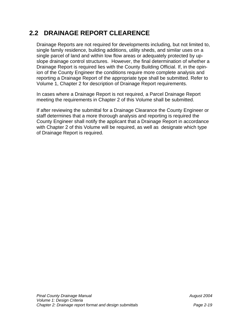## **2.2 DRAINAGE REPORT CLEARENCE**

Drainage Reports are not required for developments including, but not limited to, single family residence, building additions, utility sheds, and similar uses on a single parcel of land and within low flow areas or adequately protected by upslope drainage control structures. However, the final determination of whether a Drainage Report is required lies with the County Building Official. If, in the opinion of the County Engineer the conditions require more complete analysis and reporting a Drainage Report of the appropriate type shall be submitted. Refer to Volume 1, Chapter 2 for description of Drainage Report requirements.

In cases where a Drainage Report is not required, a Parcel Drainage Report meeting the requirements in Chapter 2 of this Volume shall be submitted.

If after reviewing the submittal for a Drainage Clearance the County Engineer or staff determines that a more thorough analysis and reporting is required the County Engineer shall notify the applicant that a Drainage Report in accordance with Chapter 2 of this Volume will be required, as well as designate which type of Drainage Report is required.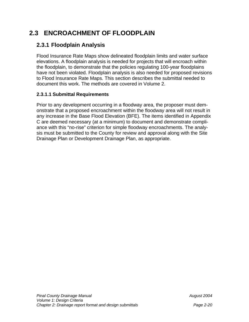## **2.3 ENCROACHMENT OF FLOODPLAIN**

## **2.3.1 Floodplain Analysis**

Flood Insurance Rate Maps show delineated floodplain limits and water surface elevations. A floodplain analysis is needed for projects that will encroach within the floodplain, to demonstrate that the policies regulating 100-year floodplains have not been violated. Floodplain analysis is also needed for proposed revisions to Flood Insurance Rate Maps. This section describes the submittal needed to document this work. The methods are covered in Volume 2.

#### **2.3.1.1 Submittal Requirements**

Prior to any development occurring in a floodway area, the proposer must demonstrate that a proposed encroachment within the floodway area will not result in any increase in the Base Flood Elevation (BFE). The items identified in Appendix C are deemed necessary (at a minimum) to document and demonstrate compliance with this "no-rise" criterion for simple floodway encroachments. The analysis must be submitted to the County for review and approval along with the Site Drainage Plan or Development Drainage Plan, as appropriate.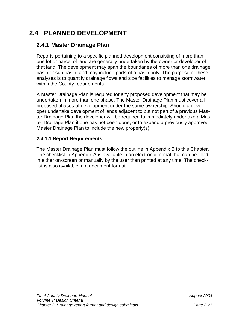## **2.4 PLANNED DEVELOPMENT**

## **2.4.1 Master Drainage Plan**

Reports pertaining to a specific planned development consisting of more than one lot or parcel of land are generally undertaken by the owner or developer of that land. The development may span the boundaries of more than one drainage basin or sub basin, and may include parts of a basin only. The purpose of these analyses is to quantify drainage flows and size facilities to manage stormwater within the County requirements.

A Master Drainage Plan is required for any proposed development that may be undertaken in more than one phase. The Master Drainage Plan must cover all proposed phases of development under the same ownership. Should a developer undertake development of lands adjacent to but not part of a previous Master Drainage Plan the developer will be required to immediately undertake a Master Drainage Plan if one has not been done, or to expand a previously approved Master Drainage Plan to include the new property(s).

#### **2.4.1.1 Report Requirements**

The Master Drainage Plan must follow the outline in Appendix B to this Chapter. The checklist in Appendix A is available in an electronic format that can be filled in either on-screen or manually by the user then printed at any time. The checklist is also available in a document format.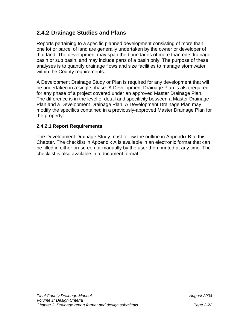## **2.4.2 Drainage Studies and Plans**

Reports pertaining to a specific planned development consisting of more than one lot or parcel of land are generally undertaken by the owner or developer of that land. The development may span the boundaries of more than one drainage basin or sub basin, and may include parts of a basin only. The purpose of these analyses is to quantify drainage flows and size facilities to manage stormwater within the County requirements.

A Development Drainage Study or Plan is required for any development that will be undertaken in a single phase. A Development Drainage Plan is also required for any phase of a project covered under an approved Master Drainage Plan. The difference is in the level of detail and specificity between a Master Drainage Plan and a Development Drainage Plan. A Development Drainage Plan may modify the specifics contained in a previously-approved Master Drainage Plan for the property.

#### **2.4.2.1 Report Requirements**

The Development Drainage Study must follow the outline in Appendix B to this Chapter. The checklist in Appendix A is available in an electronic format that can be filled in either on-screen or manually by the user then printed at any time. The checklist is also available in a document format.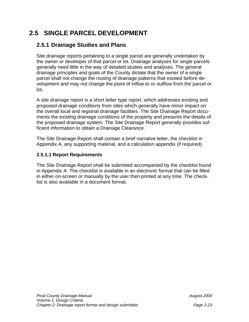## **2.5 SINGLE PARCEL DEVELOPMENT**

## **2.5.1 Drainage Studies and Plans**

Site drainage reports pertaining to a single parcel are generally undertaken by the owner or developer of that parcel or lot. Drainage analyses for single parcels generally need little in the way of detailed studies and analyses. The general drainage principles and goals of the County dictate that the owner of a single parcel shall not change the routing of drainage patterns that existed before development and may not change the point of inflow to or outflow from the parcel or lot**.** 

A site drainage report is a short letter type report, which addresses existing and proposed drainage conditions from sites which generally have minor impact on the overall local and regional drainage facilities. The Site Drainage Report documents the existing drainage conditions of the property and presents the details of the proposed drainage system. The Site Drainage Report generally provides sufficient information to obtain a Drainage Clearance.

The Site Drainage Report shall contain a brief narrative letter, the checklist in Appendix A, any supporting material, and a calculation appendix (if required).

#### **2.5.1.1 Report Requirements**

The Site Drainage Report shall be submitted accompanied by the checklist found in Appendix A. The checklist is available in an electronic format that can be filled in either on-screen or manually by the user then printed at any time. The checklist is also available in a document format.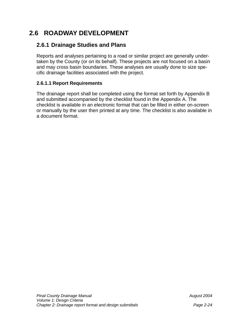## **2.6 ROADWAY DEVELOPMENT**

## **2.6.1 Drainage Studies and Plans**

Reports and analyses pertaining to a road or similar project are generally undertaken by the County (or on its behalf). These projects are not focused on a basin and may cross basin boundaries. These analyses are usually done to size specific drainage facilities associated with the project.

#### **2.6.1.1 Report Requirements**

The drainage report shall be completed using the format set forth by Appendix B and submitted accompanied by the checklist found in the Appendix A. The checklist is available in an electronic format that can be filled in either on-screen or manually by the user then printed at any time. The checklist is also available in a document format.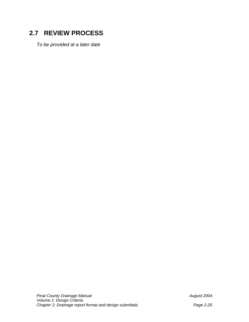## **2.7 REVIEW PROCESS**

*To be provided at a later date*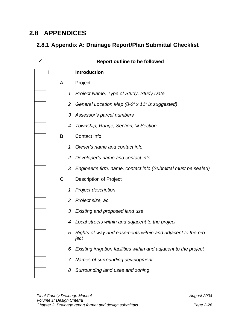## **2.8 APPENDICES**

## **2.8.1 Appendix A: Drainage Report/Plan Submittal Checklist**

|   |                | <b>Report outline to be followed</b>                                |
|---|----------------|---------------------------------------------------------------------|
| ı |                | <b>Introduction</b>                                                 |
| A |                | Project                                                             |
|   | 1              | Project Name, Type of Study, Study Date                             |
|   | $\overline{2}$ | General Location Map (8½" x 11" is suggested)                       |
|   | 3              | Assessor's parcel numbers                                           |
|   | 4              | Township, Range, Section, 1/4 Section                               |
| B |                | Contact info                                                        |
|   | 1              | Owner's name and contact info                                       |
|   | 2              | Developer's name and contact info                                   |
|   | 3              | Engineer's firm, name, contact info (Submittal must be sealed)      |
| C |                | <b>Description of Project</b>                                       |
|   | 1              | <b>Project description</b>                                          |
|   | 2              | Project size, ac                                                    |
|   | 3              | Existing and proposed land use                                      |
|   | 4              | Local streets within and adjacent to the project                    |
|   |                | Rights-of-way and easements within and adjacent to the pro-<br>ject |
|   | 6              | Existing irrigation facilities within and adjacent to the project   |
|   | 7              | Names of surrounding development                                    |
|   | 8              | Surrounding land uses and zoning                                    |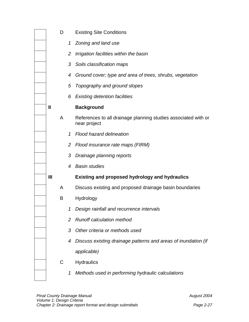|   | D |                | <b>Existing Site Conditions</b>                                                |
|---|---|----------------|--------------------------------------------------------------------------------|
|   |   |                | 1 Zoning and land use                                                          |
|   |   | $\overline{2}$ | Irrigation facilities within the basin                                         |
|   |   | 3              | Soils classification maps                                                      |
|   |   | 4              | Ground cover; type and area of trees, shrubs, vegetation                       |
|   |   | 5              | Topography and ground slopes                                                   |
|   |   | 6              | <b>Existing detention facilities</b>                                           |
| Ш |   |                | <b>Background</b>                                                              |
|   | A |                | References to all drainage planning studies associated with or<br>near project |
|   |   | 1              | Flood hazard delineation                                                       |
|   |   | $\overline{2}$ | Flood insurance rate maps (FIRM)                                               |
|   |   | 3              | Drainage planning reports                                                      |
|   |   | 4              | <b>Basin studies</b>                                                           |
| Ш |   |                | <b>Existing and proposed hydrology and hydraulics</b>                          |
|   | A |                | Discuss existing and proposed drainage basin boundaries                        |
|   | B |                | Hydrology                                                                      |
|   |   |                | 1 Design rainfall and recurrence intervals                                     |
|   |   | 2              | <b>Runoff calculation method</b>                                               |
|   |   | 3              | Other criteria or methods used                                                 |
|   |   | 4              | Discuss existing drainage patterns and areas of inundation (if                 |
|   |   |                | applicable)                                                                    |
|   | С |                | Hydraulics                                                                     |
|   |   | 1              | Methods used in performing hydraulic calculations                              |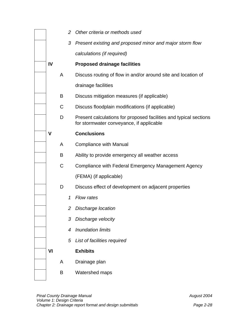|    |             | 2 | Other criteria or methods used                                                                                |
|----|-------------|---|---------------------------------------------------------------------------------------------------------------|
|    |             |   | 3 Present existing and proposed minor and major storm flow                                                    |
|    |             |   | calculations (if required)                                                                                    |
| IV |             |   | <b>Proposed drainage facilities</b>                                                                           |
|    | A           |   | Discuss routing of flow in and/or around site and location of                                                 |
|    |             |   | drainage facilities                                                                                           |
|    | B           |   | Discuss mitigation measures (if applicable)                                                                   |
|    | C           |   | Discuss floodplain modifications (if applicable)                                                              |
|    | D           |   | Present calculations for proposed facilities and typical sections<br>for stormwater conveyance, if applicable |
| V  |             |   | <b>Conclusions</b>                                                                                            |
|    | A           |   | <b>Compliance with Manual</b>                                                                                 |
|    | B           |   | Ability to provide emergency all weather access                                                               |
|    | $\mathsf C$ |   | Compliance with Federal Emergency Management Agency                                                           |
|    |             |   | (FEMA) (if applicable)                                                                                        |
|    | D           |   | Discuss effect of development on adjacent properties                                                          |
|    |             | 1 | <b>Flow rates</b>                                                                                             |
|    |             | 2 | Discharge location                                                                                            |
|    |             | 3 | Discharge velocity                                                                                            |
|    |             | 4 | <b>Inundation limits</b>                                                                                      |
|    |             | 5 | List of facilities required                                                                                   |
| VI |             |   | <b>Exhibits</b>                                                                                               |
|    | A           |   | Drainage plan                                                                                                 |
|    | B           |   | Watershed maps                                                                                                |
|    |             |   |                                                                                                               |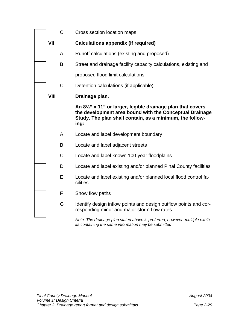|             | $\mathsf{C}$ | Cross section location maps                                                                                                                                                                           |
|-------------|--------------|-------------------------------------------------------------------------------------------------------------------------------------------------------------------------------------------------------|
| VII         |              | <b>Calculations appendix (if required)</b>                                                                                                                                                            |
|             | A            | Runoff calculations (existing and proposed)                                                                                                                                                           |
|             | B            | Street and drainage facility capacity calculations, existing and                                                                                                                                      |
|             |              | proposed flood limit calculations                                                                                                                                                                     |
|             | $\mathsf C$  | Detention calculations (if applicable)                                                                                                                                                                |
| <b>VIII</b> |              | Drainage plan.                                                                                                                                                                                        |
|             |              | An $8\frac{1}{2}$ " x 11" or larger, legible drainage plan that covers<br>the development area bound with the Conceptual Drainage<br>Study. The plan shall contain, as a minimum, the follow-<br>ing: |
|             | A            | Locate and label development boundary                                                                                                                                                                 |
|             | B            | Locate and label adjacent streets                                                                                                                                                                     |
|             | $\mathsf C$  | Locate and label known 100-year floodplains                                                                                                                                                           |
|             | D            | Locate and label existing and/or planned Pinal County facilities                                                                                                                                      |
|             | E            | Locate and label existing and/or planned local flood control fa-<br>cilities                                                                                                                          |
|             | F            | Show flow paths                                                                                                                                                                                       |
|             | G            | Identify design inflow points and design outflow points and cor-<br>responding minor and major storm flow rates                                                                                       |
|             |              |                                                                                                                                                                                                       |

*Note: The drainage plan stated above is preferred; however, multiple exhibits containing the same information may be submitted*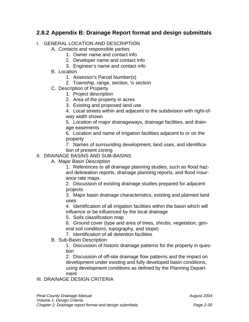## **2.8.2 Appendix B: Drainage Report format and design submittals**

#### I. GENERAL LOCATION AND DESCRIPTION

A. Contacts and responsible parties

- 1. Owner name and contact info
- 2. Developer name and contact info
- 3. Engineer's name and contact info
- B. Location
	- 1. Assessor's Parcel Number(s)
	- 2. Township, range, section, ¼ section
- C. Description of Property
	- 1. Project description
	- 2. Area of the property in acres
	- 3. Existing and proposed land use

4. Local streets within and adjacent to the subdivision with right-ofway width shown

5. Location of major drainageways, drainage facilities, and drainage easements

6. Location and name of irrigation facilities adjacent to or on the property

7. Names of surrounding development, land uses, and identification of present zoning

#### II. DRAINAGE BASINS AND SUB-BASINS

A. Major Basin Description

1. References to all drainage planning studies, such as flood hazard delineation reports, drainage planning reports, and flood insurance rate maps

2. Discussion of existing drainage studies prepared for adjacent projects

3. Major basin drainage characteristics, existing and planned land uses

4. Identification of all irrigation facilities within the basin which will influence or be influenced by the local drainage

5. Soils classification map

6. Ground cover (type and area of trees, shrubs, vegetation, general soil conditions, topography, and slope)

7. Identification of all detention facilities

B. Sub-Basin Description

1. Discussion of historic drainage patterns for the property in question

2. Discussion of off-site drainage flow patterns and the impact on development under existing and fully developed basin conditions, using development conditions as defined by the Planning Department

#### III. DRAINAGE DESIGN CRITERIA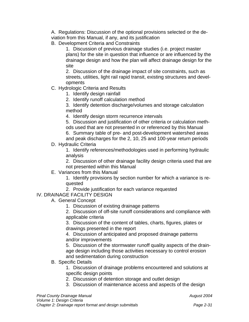A. Regulations: Discussion of the optional provisions selected or the deviation from this Manual, if any, and its justification

B. Development Criteria and Constraints

1. Discussion of previous drainage studies (i.e. project master plans) for the site in question that influence or are influenced by the drainage design and how the plan will affect drainage design for the site

2. Discussion of the drainage impact of site constraints, such as streets, utilities, light rail rapid transit, existing structures and developments

- C. Hydrologic Criteria and Results
	- 1. Identify design rainfall
	- 2. Identify runoff calculation method

3. Identify detention discharge/volumes and storage calculation method

4. Identify design storm recurrence intervals

5. Discussion and justification of other criteria or calculation methods used that are not presented in or referenced by this Manual

- 6. Summary table of pre- and post-development watershed areas
- and peak discharges for the 2, 10, 25 and 100-year return periods D. Hydraulic Criteria

1. Identify references/methodologies used in performing hydraulic analysis

2. Discussion of other drainage facility design criteria used that are not presented within this Manual

E. Variances from this Manual

1. Identify provisions by section number for which a variance is requested

2. Provide justification for each variance requested

#### IV. DRAINAGE FACILITY DESIGN

- A. General Concept
	- 1. Discussion of existing drainage patterns

2. Discussion of off-site runoff considerations and compliance with applicable criteria

3. Discussion of the content of tables, charts, figures, plates or drawings presented in the report

4. Discussion of anticipated and proposed drainage patterns and/or improvements

5. Discussion of the stormwater runoff quality aspects of the drainage design including those activities necessary to control erosion and sedimentation during construction

B. Specific Details

1. Discussion of drainage problems encountered and solutions at specific design points

- 2. Discussion of detention storage and outlet design
- 3. Discussion of maintenance access and aspects of the design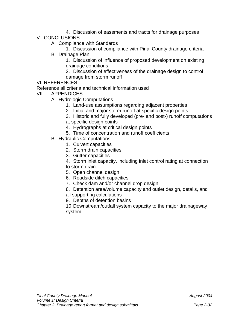- 4. Discussion of easements and tracts for drainage purposes
- V. CONCLUSIONS
	- A. Compliance with Standards

1. Discussion of compliance with Pinal County drainage criteria

B. Drainage Plan

1. Discussion of influence of proposed development on existing drainage conditions

2. Discussion of effectiveness of the drainage design to control damage from storm runoff

VI. REFERENCES

Reference all criteria and technical information used

- VII. APPENDICES
	- A. Hydrologic Computations
		- 1. Land-use assumptions regarding adjacent properties
		- 2. Initial and major storm runoff at specific design points

3. Historic and fully developed (pre- and post-) runoff computations

- at specific design points
- 4. Hydrographs at critical design points
- 5. Time of concentration and runoff coefficients
- B. Hydraulic Computations
	- 1. Culvert capacities
	- 2. Storm drain capacities
	- 3. Gutter capacities
	- 4. Storm inlet capacity, including inlet control rating at connection
	- to storm drain
	- 5. Open channel design
	- 6. Roadside ditch capacities
	- 7. Check dam and/or channel drop design
	- 8. Detention area/volume capacity and outlet design, details, and
	- all supporting calculations
	- 9. Depths of detention basins

10. Downstream/outfall system capacity to the major drainageway system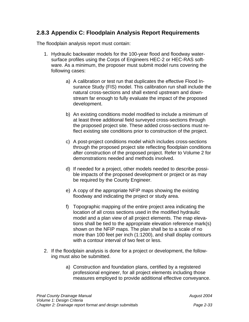#### **2.8.3 Appendix C: Floodplain Analysis Report Requirements**

The floodplain analysis report must contain:

- 1. Hydraulic backwater models for the 100-year flood and floodway watersurface profiles using the Corps of Engineers HEC-2 or HEC-RAS software. As a minimum, the proposer must submit model runs covering the following cases:
	- a) A calibration or test run that duplicates the effective Flood Insurance Study (FIS) model. This calibration run shall include the natural cross-sections and shall extend upstream and downstream far enough to fully evaluate the impact of the proposed development.
	- b) An existing conditions model modified to include a minimum of at least three additional field surveyed cross-sections through the proposed project site. These added cross-sections must reflect existing site conditions prior to construction of the project.
	- c) A post-project conditions model which includes cross-sections through the proposed project site reflecting floodplain conditions after construction of the proposed project. Refer to Volume 2 for demonstrations needed and methods involved.
	- d) If needed for a project, other models needed to describe possible impacts of the proposed development or project or as may be required by the County Engineer.
	- e) A copy of the appropriate NFIP maps showing the existing floodway and indicating the project or study area.
	- f) Topographic mapping of the entire project area indicating the location of all cross sections used in the modified hydraulic model and a plan view of all project elements. The map elevations shall be tied to the appropriate elevation reference mark(s) shown on the NFIP maps. The plan shall be to a scale of no more than 100 feet per inch (1:1200), and shall display contours with a contour interval of two feet or less.
- 2. If the floodplain analysis is done for a project or development, the following must also be submitted.
	- a) Construction and foundation plans, certified by a registered professional engineer, for all project elements including those measures employed to provide additional effective conveyance.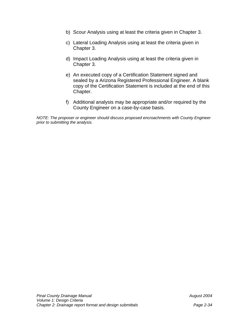- b) Scour Analysis using at least the criteria given in Chapter 3.
- c) Lateral Loading Analysis using at least the criteria given in Chapter 3.
- d) Impact Loading Analysis using at least the criteria given in Chapter 3.
- e) An executed copy of a Certification Statement signed and sealed by a Arizona Registered Professional Engineer. A blank copy of the Certification Statement is included at the end of this Chapter.
- f) Additional analysis may be appropriate and/or required by the County Engineer on a case-by-case basis.

*NOTE: The proposer or engineer should discuss proposed encroachments with County Engineer prior to submitting the analysis.*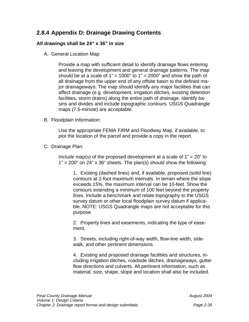## **2.8.4 Appendix D: Drainage Drawing Contents**

#### **All drawings shall be 24" x 36" in size**

A. General Location Map:

Provide a map with sufficient detail to identify drainage flows entering and leaving the development and general drainage patterns. The map should be at a scale of  $1" = 1000"$  to  $1" = 2000"$  and show the path of all drainage from the upper end of any offsite basin to the defined major drainageways. The map should identify any major facilities that can affect drainage (e.g. development, irrigation ditches, existing detention facilities, storm drains) along the entire path of drainage. Identify basins and divides and include topographic contours. USGS Quadrangle maps (7.5-minute) are acceptable.

B. Floodplain Information:

Use the appropriate FEMA FIRM and Floodway Map, if available, to plot the location of the parcel and provide a copy in the report.

C. Drainage Plan:

Include map(s) of the proposed development at a scale of  $1" = 20"$  to  $1" = 200"$  on 24" x 36" sheets. The plan(s) should show the following:

1. Existing (dashed lines) and, if available, proposed (solid line) contours at 2-foot maximum intervals. In terrain where the slope exceeds 15%, the maximum interval can be 10-feet. Show the contours extending a minimum of 100 feet beyond the property lines. Include a benchmark and relate topography to the USGS survey datum or other local floodplain survey datum if applicable. NOTE: USGS Quadrangle maps are not acceptable for this purpose.

2. Property lines and easements, indicating the type of easement.

3. Streets, including right-of-way width, flow-line width, sidewalk, and other pertinent dimensions.

4. Existing and proposed drainage facilities and structures, including irrigation ditches, roadside ditches, drainageways, gutter flow directions and culverts. All pertinent information, such as material, size, shape, slope and location shall also be included.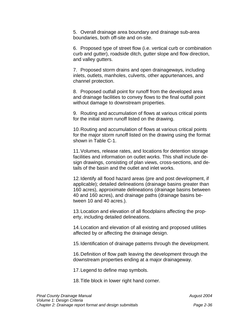5. Overall drainage area boundary and drainage sub-area boundaries, both off-site and on-site.

6. Proposed type of street flow (i.e. vertical curb or combination curb and gutter), roadside ditch, gutter slope and flow direction, and valley gutters.

7. Proposed storm drains and open drainageways, including inlets, outlets, manholes, culverts, other appurtenances, and channel protection.

8. Proposed outfall point for runoff from the developed area and drainage facilities to convey flows to the final outfall point without damage to downstream properties.

9. Routing and accumulation of flows at various critical points for the initial storm runoff listed on the drawing.

10. Routing and accumulation of flows at various critical points for the major storm runoff listed on the drawing using the format shown in Table C-1.

11. Volumes, release rates, and locations for detention storage facilities and information on outlet works. This shall include design drawings, consisting of plan views, cross-sections, and details of the basin and the outlet and inlet works.

12. Identify all flood hazard areas (pre and post development, if applicable); detailed delineations (drainage basins greater than 160 acres), approximate delineations (drainage basins between 40 and 160 acres), and drainage paths (drainage basins between 10 and 40 acres.).

13. Location and elevation of all floodplains affecting the property, including detailed delineations.

14. Location and elevation of all existing and proposed utilities affected by or affecting the drainage design.

15. Identification of drainage patterns through the development.

16. Definition of flow path leaving the development through the downstream properties ending at a major drainageway.

17. Legend to define map symbols.

18. Title block in lower right hand corner.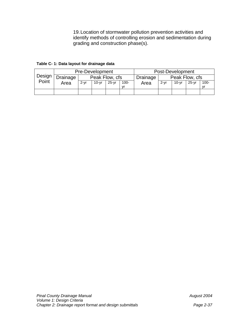19. Location of stormwater pollution prevention activities and identify methods of controlling erosion and sedimentation during grading and construction phase(s).

**Table C- 1: Data layout for drainage data** 

|        | Pre-Development |                |         |         | Post-Development           |      |          |           |         |         |
|--------|-----------------|----------------|---------|---------|----------------------------|------|----------|-----------|---------|---------|
| Design | Drainage        | Peak Flow, cfs |         |         | Peak Flow, cfs<br>Drainage |      |          |           |         |         |
| Point  | Area            | $2 - vr$       | $10-vr$ | $25-vr$ | $100 -$                    | Area | $2 - vr$ | $10 - vr$ | $25-vr$ | $100 -$ |
|        |                 |                |         |         | vr                         |      |          |           |         |         |
|        |                 |                |         |         |                            |      |          |           |         |         |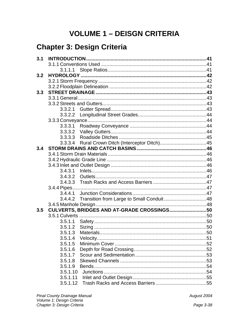# **VOLUME 1 - DEISGN CRITERIA**

# **Chapter 3: Design Criteria**

| 3.2 |          |                                                  |  |
|-----|----------|--------------------------------------------------|--|
|     |          |                                                  |  |
|     |          |                                                  |  |
| 3.3 |          |                                                  |  |
|     |          |                                                  |  |
|     |          |                                                  |  |
|     | 3.3.2.1  |                                                  |  |
|     | 3.3.2.2  |                                                  |  |
|     |          |                                                  |  |
|     | 3.3.3.1  |                                                  |  |
|     |          |                                                  |  |
|     |          |                                                  |  |
|     |          | 3.3.3.4 Rural Crown Ditch (Interceptor Ditch)45  |  |
| 3.4 |          |                                                  |  |
|     |          |                                                  |  |
|     |          |                                                  |  |
|     |          |                                                  |  |
|     | 3.4.3.1  |                                                  |  |
|     |          |                                                  |  |
|     |          |                                                  |  |
|     |          |                                                  |  |
|     |          |                                                  |  |
|     |          | 3.4.4.2 Transition from Large to Small Conduit48 |  |
|     |          |                                                  |  |
| 3.5 |          | CULVERTS, BRIDGES AND AT-GRADE CROSSINGS 50      |  |
|     |          |                                                  |  |
|     |          |                                                  |  |
|     | 3.5.1.2  |                                                  |  |
|     | 3.5.1.3  |                                                  |  |
|     |          |                                                  |  |
|     | 3.5.1.5  |                                                  |  |
|     | 3.5.1.6  |                                                  |  |
|     | 3.5.1.7  |                                                  |  |
|     | 3.5.1.8  |                                                  |  |
|     | 3.5.1.9  |                                                  |  |
|     | 3.5.1.10 |                                                  |  |
|     | 3.5.1.11 |                                                  |  |
|     | 3.5.1.12 |                                                  |  |

August 2004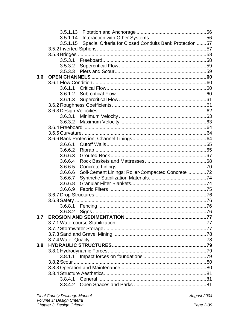|     | 3.5.1.13 |                                                         |  |
|-----|----------|---------------------------------------------------------|--|
|     | 3.5.1.14 |                                                         |  |
|     | 3.5.1.15 | Special Criteria for Closed Conduits Bank Protection 57 |  |
|     |          |                                                         |  |
|     |          |                                                         |  |
|     |          |                                                         |  |
|     |          |                                                         |  |
|     | 3.5.3.3  |                                                         |  |
| 3.6 |          |                                                         |  |
|     |          |                                                         |  |
|     | 3.6.1.1  |                                                         |  |
|     | 3.6.1.2  |                                                         |  |
|     | 3.6.1.3  |                                                         |  |
|     |          |                                                         |  |
|     |          |                                                         |  |
|     | 3.6.3.1  |                                                         |  |
|     |          |                                                         |  |
|     |          |                                                         |  |
|     |          |                                                         |  |
|     |          |                                                         |  |
|     | 3.6.6.1  |                                                         |  |
|     | 3.6.6.2  |                                                         |  |
|     | 3.6.6.3  |                                                         |  |
|     | 3.6.6.4  |                                                         |  |
|     | 3.6.6.5  |                                                         |  |
|     | 3.6.6.6  | Soil-Cement Linings; Roller-Compacted Concrete72        |  |
|     | 3.6.6.7  |                                                         |  |
|     | 3.6.6.8  |                                                         |  |
|     | 3.6.6.9  |                                                         |  |
|     |          |                                                         |  |
|     |          |                                                         |  |
|     |          |                                                         |  |
|     |          |                                                         |  |
| 3.7 |          |                                                         |  |
|     |          |                                                         |  |
|     |          |                                                         |  |
|     |          |                                                         |  |
|     |          |                                                         |  |
| 3.8 |          |                                                         |  |
|     |          |                                                         |  |
|     |          |                                                         |  |
|     |          |                                                         |  |
|     |          |                                                         |  |
|     |          |                                                         |  |
|     |          |                                                         |  |
|     |          |                                                         |  |
|     |          |                                                         |  |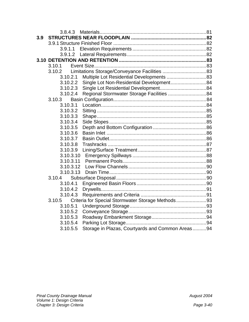|     | 3.8.4.3   |                                                   |  |
|-----|-----------|---------------------------------------------------|--|
| 3.9 |           |                                                   |  |
|     |           |                                                   |  |
|     | 3.9.1.1   |                                                   |  |
|     | 3.9.1.2   |                                                   |  |
|     |           |                                                   |  |
|     | 3.10.1    |                                                   |  |
|     | 3.10.2    |                                                   |  |
|     | 3.10.2.1  | Multiple Lot Residential Developments 83          |  |
|     | 3.10.2.2  | Single Lot Non-Residential Development84          |  |
|     | 3.10.2.3  |                                                   |  |
|     | 3.10.2.4  | Regional Stormwater Storage Facilities 84         |  |
|     | 3.10.3    |                                                   |  |
|     | 3.10.3.1  |                                                   |  |
|     | 3.10.3.2  |                                                   |  |
|     | 3.10.3.3  |                                                   |  |
|     | 3.10.3.4  |                                                   |  |
|     | 3.10.3.5  |                                                   |  |
|     | 3.10.3.6  |                                                   |  |
|     | 3.10.3.7  |                                                   |  |
|     | 3.10.3.8  |                                                   |  |
|     | 3.10.3.9  |                                                   |  |
|     | 3.10.3.10 |                                                   |  |
|     | 3.10.3.11 |                                                   |  |
|     | 3.10.3.12 |                                                   |  |
|     | 3.10.3.13 |                                                   |  |
|     | 3.10.4    |                                                   |  |
|     | 3.10.4.1  |                                                   |  |
|     | 3.10.4.2  |                                                   |  |
|     | 3.10.4.3  |                                                   |  |
|     | 3.10.5    | Criteria for Special Stormwater Storage Methods93 |  |
|     | 3.10.5.1  |                                                   |  |
|     | 3.10.5.2  |                                                   |  |
|     | 3.10.5.3  |                                                   |  |
|     | 3.10.5.4  |                                                   |  |
|     | 3.10.5.5  | Storage in Plazas, Courtyards and Common Areas94  |  |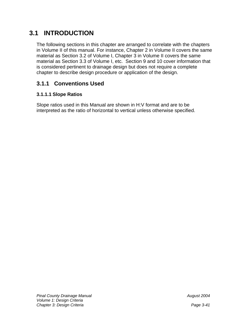## **3.1 INTRODUCTION**

The following sections in this chapter are arranged to correlate with the chapters in Volume II of this manual. For instance, Chapter 2 in Volume II covers the same material as Section 3.2 of Volume I, Chapter 3 in Volume II covers the same material as Section 3.3 of Volume I, etc. Section 9 and 10 cover information that is considered pertinent to drainage design but does not require a complete chapter to describe design procedure or application of the design.

## **3.1.1 Conventions Used**

#### **3.1.1.1 Slope Ratios**

Slope ratios used in this Manual are shown in H:V format and are to be interpreted as the ratio of horizontal to vertical unless otherwise specified.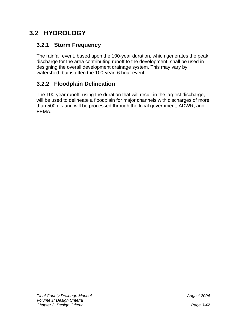## **3.2 HYDROLOGY**

## **3.2.1 Storm Frequency**

The rainfall event, based upon the 100-year duration, which generates the peak discharge for the area contributing runoff to the development, shall be used in designing the overall development drainage system. This may vary by watershed, but is often the 100-year, 6 hour event.

## **3.2.2 Floodplain Delineation**

The 100-year runoff, using the duration that will result in the largest discharge, will be used to delineate a floodplain for major channels with discharges of more than 500 cfs and will be processed through the local government, ADWR, and FEMA.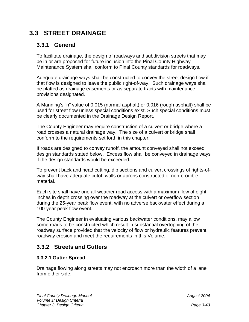## **3.3 STREET DRAINAGE**

### **3.3.1 General**

To facilitate drainage, the design of roadways and subdivision streets that may be in or are proposed for future inclusion into the Pinal County Highway Maintenance System shall conform to Pinal County standards for roadways.

Adequate drainage ways shall be constructed to convey the street design flow if that flow is designed to leave the public right-of-way. Such drainage ways shall be platted as drainage easements or as separate tracts with maintenance provisions designated.

A Manning's "n" value of 0.015 (normal asphalt) or 0.016 (rough asphalt) shall be used for street flow unless special conditions exist. Such special conditions must be clearly documented in the Drainage Design Report.

The County Engineer may require construction of a culvert or bridge where a road crosses a natural drainage way. The size of a culvert or bridge shall conform to the requirements set forth in this chapter.

If roads are designed to convey runoff, the amount conveyed shall not exceed design standards stated below. Excess flow shall be conveyed in drainage ways if the design standards would be exceeded.

To prevent back and head cutting, dip sections and culvert crossings of rights-ofway shall have adequate cutoff walls or aprons constructed of non-erodible material.

Each site shall have one all-weather road access with a maximum flow of eight inches in depth crossing over the roadway at the culvert or overflow section during the 25-year peak flow event, with no adverse backwater effect during a 100-year peak flow event.

The County Engineer in evaluating various backwater conditions, may allow some roads to be constructed which result in substantial overtopping of the roadway surface provided that the velocity of flow or hydraulic features prevent roadway erosion and meet the requirements in this Volume.

### **3.3.2 Streets and Gutters**

#### **3.3.2.1 Gutter Spread**

Drainage flowing along streets may not encroach more than the width of a lane from either side.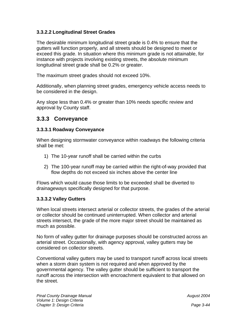#### **3.3.2.2 Longitudinal Street Grades**

The desirable minimum longitudinal street grade is 0.4% to ensure that the gutters will function properly, and all streets should be designed to meet or exceed this grade. In situation where this minimum grade is not attainable, for instance with projects involving existing streets, the absolute minimum longitudinal street grade shall be 0.2% or greater.

The maximum street grades should not exceed 10%.

Additionally, when planning street grades, emergency vehicle access needs to be considered in the design.

Any slope less than 0.4% or greater than 10% needs specific review and approval by County staff.

#### **3.3.3 Conveyance**

#### **3.3.3.1 Roadway Conveyance**

When designing stormwater conveyance within roadways the following criteria shall be met:

- 1) The 10-year runoff shall be carried within the curbs
- 2) The 100-year runoff may be carried within the right-of-way provided that flow depths do not exceed six inches above the center line

Flows which would cause those limits to be exceeded shall be diverted to drainageways specifically designed for that purpose.

#### **3.3.3.2 Valley Gutters**

When local streets intersect arterial or collector streets, the grades of the arterial or collector should be continued uninterrupted. When collector and arterial streets intersect, the grade of the more major street should be maintained as much as possible.

No form of valley gutter for drainage purposes should be constructed across an arterial street. Occasionally, with agency approval, valley gutters may be considered on collector streets.

Conventional valley gutters may be used to transport runoff across local streets when a storm drain system is not required and when approved by the governmental agency. The valley gutter should be sufficient to transport the runoff across the intersection with encroachment equivalent to that allowed on the street.

 *August 2004*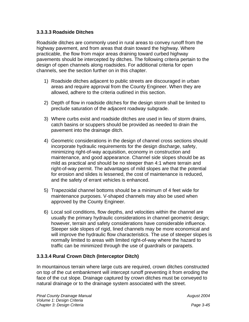#### **3.3.3.3 Roadside Ditches**

Roadside ditches are commonly used in rural areas to convey runoff from the highway pavement, and from areas that drain toward the highway. Where practicable, the flow from major areas draining toward curbed highway pavements should be intercepted by ditches. The following criteria pertain to the design of open channels along roadsides. For additional criteria for open channels, see the section further on in this chapter.

- 1) Roadside ditches adjacent to public streets are discouraged in urban areas and require approval from the County Engineer. When they are allowed, adhere to the criteria outlined in this section.
- 2) Depth of flow in roadside ditches for the design storm shall be limited to preclude saturation of the adjacent roadway subgrade.
- 3) Where curbs exist and roadside ditches are used in lieu of storm drains, catch basins or scuppers should be provided as needed to drain the pavement into the drainage ditch.
- 4) Geometric considerations in the design of channel cross sections should incorporate hydraulic requirements for the design discharge, safety, minimizing right-of-way acquisition, economy in construction and maintenance, and good appearance. Channel side slopes should be as mild as practical and should be no steeper than 4:1 where terrain and right-of-way permit. The advantages of mild slopes are that the potential for erosion and slides is lessened, the cost of maintenance is reduced, and the safety of errant vehicles is enhanced.
- 5) Trapezoidal channel bottoms should be a minimum of 4 feet wide for maintenance purposes. V-shaped channels may also be used when approved by the County Engineer.
- 6) Local soil conditions, flow depths, and velocities within the channel are usually the primary hydraulic considerations in channel geometric design; however, terrain and safety considerations have considerable influence. Steeper side slopes of rigid, lined channels may be more economical and will improve the hydraulic flow characteristics. The use of steeper slopes is normally limited to areas with limited right-of-way where the hazard to traffic can be minimized through the use of guardrails or parapets.

#### **3.3.3.4 Rural Crown Ditch (Interceptor Ditch)**

In mountainous terrain where large cuts are required, crown ditches constructed on top of the cut embankment will intercept runoff preventing it from eroding the face of the cut slope. Drainage captured by crown ditches must be conveyed to natural drainage or to the drainage system associated with the street.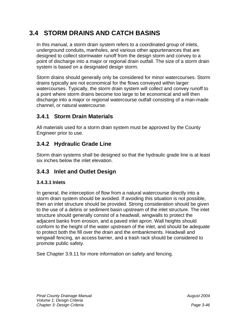## **3.4 STORM DRAINS AND CATCH BASINS**

In this manual, a storm drain system refers to a coordinated group of inlets, underground conduits, manholes, and various other appurtenances that are designed to collect stormwater runoff from the design storm and convey to a point of discharge into a major or regional drain outfall. The size of a storm drain system is based on a designated design storm.

Storm drains should generally only be considered for minor watercourses. Storm drains typically are not economical for the flows conveyed within larger watercourses. Typically, the storm drain system will collect and convey runoff to a point where storm drains become too large to be economical and will then discharge into a major or regional watercourse outfall consisting of a man-made channel, or natural watercourse.

## **3.4.1 Storm Drain Materials**

All materials used for a storm drain system must be approved by the County Engineer prior to use.

## **3.4.2 Hydraulic Grade Line**

Storm drain systems shall be designed so that the hydraulic grade line is at least six inches below the inlet elevation.

## **3.4.3 Inlet and Outlet Design**

#### **3.4.3.1 Inlets**

In general, the interception of flow from a natural watercourse directly into a storm drain system should be avoided. If avoiding this situation is not possible, then an inlet structure should be provided. Strong consideration should be given to the use of a debris or sediment basin upstream of the inlet structure. The inlet structure should generally consist of a headwall, wingwalls to protect the adjacent banks from erosion, and a paved inlet apron. Wall heights should conform to the height of the water upstream of the inlet, and should be adequate to protect both the fill over the drain and the embankments. Headwall and wingwall fencing, an access barrier, and a trash rack should be considered to promote public safety.

See Chapter 3.9.11 for more information on safety and fencing.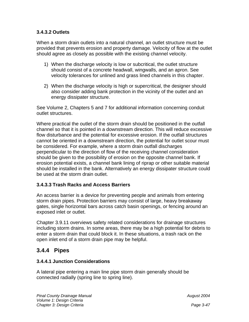#### **3.4.3.2 Outlets**

When a storm drain outlets into a natural channel, an outlet structure must be provided that prevents erosion and property damage. Velocity of flow at the outlet should agree as closely as possible with the existing channel velocity.

- 1) When the discharge velocity is low or subcritical, the outlet structure should consist of a concrete headwall, wingwalls, and an apron. See velocity tolerances for unlined and grass lined channels in this chapter.
- 2) When the discharge velocity is high or supercritical, the designer should also consider adding bank protection in the vicinity of the outlet and an energy dissipater structure.

See Volume 2, Chapters 5 and 7 for additional information concerning conduit outlet structures.

Where practical the outlet of the storm drain should be positioned in the outfall channel so that it is pointed in a downstream direction. This will reduce excessive flow disturbance and the potential for excessive erosion. If the outfall structures cannot be oriented in a downstream direction, the potential for outlet scour must be considered. For example, where a storm drain outfall discharges perpendicular to the direction of flow of the receiving channel consideration should be given to the possibility of erosion on the opposite channel bank. If erosion potential exists, a channel bank lining of riprap or other suitable material should be installed in the bank. Alternatively an energy dissipater structure could be used at the storm drain outlet.

#### **3.4.3.3 Trash Racks and Access Barriers**

An access barrier is a device for preventing people and animals from entering storm drain pipes. Protection barriers may consist of large, heavy breakaway gates, single horizontal bars across catch basin openings, or fencing around an exposed inlet or outlet.

Chapter 3.9.11 overviews safety related considerations for drainage structures including storm drains. In some areas, there may be a high potential for debris to enter a storm drain that could block it. In these situations, a trash rack on the open inlet end of a storm drain pipe may be helpful.

#### **3.4.4 Pipes**

#### **3.4.4.1 Junction Considerations**

A lateral pipe entering a main line pipe storm drain generally should be connected radially (spring line to spring line).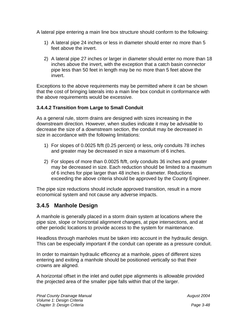A lateral pipe entering a main line box structure should conform to the following:

- 1) A lateral pipe 24 inches or less in diameter should enter no more than 5 feet above the invert.
- 2) A lateral pipe 27 inches or larger in diameter should enter no more than 18 inches above the invert, with the exception that a catch basin connector pipe less than 50 feet in length may be no more than 5 feet above the invert.

Exceptions to the above requirements may be permitted where it can be shown that the cost of bringing laterals into a main line box conduit in conformance with the above requirements would be excessive.

#### **3.4.4.2 Transition from Large to Small Conduit**

As a general rule, storm drains are designed with sizes increasing in the downstream direction. However, when studies indicate it may be advisable to decrease the size of a downstream section, the conduit may be decreased in size in accordance with the following limitations:

- 1) For slopes of 0.0025 ft/ft (0.25 percent) or less, only conduits 78 inches and greater may be decreased in size a maximum of 6 inches.
- 2) For slopes of more than 0.0025 ft/ft, only conduits 36 inches and greater may be decreased in size. Each reduction should be limited to a maximum of 6 inches for pipe larger than 48 inches in diameter. Reductions exceeding the above criteria should be approved by the County Engineer.

The pipe size reductions should include approved transition, result in a more economical system and not cause any adverse impacts.

### **3.4.5 Manhole Design**

A manhole is generally placed in a storm drain system at locations where the pipe size, slope or horizontal alignment changes, at pipe intersections, and at other periodic locations to provide access to the system for maintenance.

Headloss through manholes must be taken into account in the hydraulic design. This can be especially important if the conduit can operate as a pressure conduit.

In order to maintain hydraulic efficency at a manhole, pipes of different sizes entering and exiting a manhole should be positioned vertically so that their crowns are aligned.

A horizontal offset in the inlet and outlet pipe alignments is allowable provided the projected area of the smaller pipe falls within that of the larger.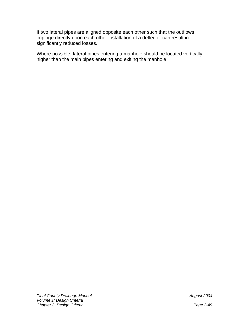If two lateral pipes are aligned opposite each other such that the outflows impinge directly upon each other installation of a deflector can result in significantly reduced losses.

Where possible, lateral pipes entering a manhole should be located vertically higher than the main pipes entering and exiting the manhole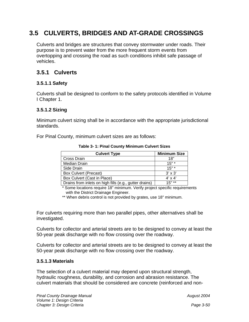## **3.5 CULVERTS, BRIDGES AND AT-GRADE CROSSINGS**

Culverts and bridges are structures that convey stormwater under roads. Their purpose is to prevent water from the more frequent storm events from overtopping and crossing the road as such conditions inhibit safe passage of vehicles.

## **3.5.1 Culverts**

#### **3.5.1.1 Safety**

Culverts shall be designed to conform to the safety protocols identified in Volume I Chapter 1.

#### **3.5.1.2 Sizing**

Minimum culvert sizing shall be in accordance with the appropriate jurisdictional standards.

For Pinal County, minimum culvert sizes are as follows:

| <b>Culvert Type</b>                                    | <b>Minimum Size</b> |
|--------------------------------------------------------|---------------------|
| Cross Drain                                            | 18"                 |
| <b>Median Drain</b>                                    | $15"$ *             |
| Side Drain                                             | $15"$ *             |
| <b>Box Culvert (Precast)</b>                           | $3' \times 3'$      |
| Box Culvert (Cast in Place)                            | $4' \times 4'$      |
| Drains from inlets on high fills (e.g., gutter drains) | $15"$ **            |

**Table 3- 1: Pinal County Minimum Culvert Sizes** 

\* Some locations require 18" minimum. Verify project specific requirements with the District Drainage Engineer.

\*\* When debris control is not provided by grates, use 18" minimum.

For culverts requiring more than two parallel pipes, other alternatives shall be investigated.

Culverts for collector and arterial streets are to be designed to convey at least the 50-year peak discharge with no flow crossing over the roadway.

Culverts for collector and arterial streets are to be designed to convey at least the 50-year peak discharge with no flow crossing over the roadway.

#### **3.5.1.3 Materials**

The selection of a culvert material may depend upon structural strength, hydraulic roughness, durability, and corrosion and abrasion resistance. The culvert materials that should be considered are concrete (reinforced and non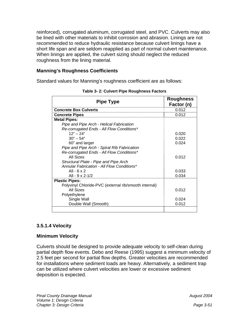reinforced), corrugated aluminum, corrugated steel, and PVC. Culverts may also be lined with other materials to inhibit corrosion and abrasion. Linings are not recommended to reduce hydraulic resistance because culvert linings have a short life span and are seldom reapplied as part of normal culvert maintenance. When linings are applied, the culvert sizing should neglect the reduced roughness from the lining material.

#### **Manning's Roughness Coefficients**

Standard values for Manning's roughness coefficient are as follows:

| <b>Pipe Type</b>                                      | <b>Roughness</b><br>Factor (n) |
|-------------------------------------------------------|--------------------------------|
| <b>Concrete Box Culverts</b>                          | 0.012                          |
| <b>Concrete Pipes</b>                                 | 0.012                          |
| <b>Metal Pipes:</b>                                   |                                |
| Pipe and Pipe Arch - Helical Fabrication              |                                |
| Re-corrugated Ends - All Flow Conditions*             |                                |
| $12" - 24"$                                           | 0.020                          |
| $30" - 54"$                                           | 0.022                          |
| 60" and larger                                        | 0.024                          |
| Pipe and Pipe Arch - Spiral Rib Fabrication           |                                |
| Re-corrugated Ends - All Flow Conditions*             |                                |
| All Sizes                                             | 0.012                          |
| Structural Plate - Pipe and Pipe Arch                 |                                |
| Annular Fabrication - All Flow Conditions*            |                                |
| All - 6 $\times$ 2                                    | 0.033                          |
| All - 9 x 2-1/2                                       | 0.034                          |
| <b>Plastic Pipes:</b>                                 |                                |
| Polyvinyl Chloride-PVC (external rib/smooth internal) |                                |
| All Sizes                                             | 0.012                          |
| Polyethylene                                          |                                |
| Single Wall                                           | 0.024                          |
| Double Wall (Smooth)                                  | 0.012                          |
|                                                       |                                |

| Table 3-2: Culvert Pipe Roughness Factors |  |
|-------------------------------------------|--|
|-------------------------------------------|--|

#### **3.5.1.4 Velocity**

#### **Minimum Velocity**

Culverts should be designed to provide adequate velocity to self-clean during partial depth flow events. Debo and Reese (1995) suggest a minimum velocity of 2.5 feet per second for partial flow depths. Greater velocities are recommended for installations where sediment loads are heavy. Alternatively, a sediment trap can be utilized where culvert velocities are lower or excessive sediment deposition is expected.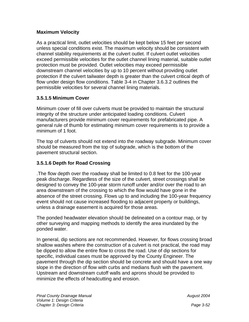#### **Maximum Velocity**

As a practical limit, outlet velocities should be kept below 15 feet per second unless special conditions exist. The maximum velocity should be consistent with channel stability requirements at the culvert outlet. If culvert outlet velocities exceed permissible velocities for the outlet channel lining material, suitable outlet protection must be provided. Outlet velocities may exceed permissible downstream channel velocities by up to 10 percent without providing outlet protection if the culvert tailwater depth is greater than the culvert critical depth of flow under design flow conditions. Table 3-4 in Chapter 3.6.3.2 outlines the permissible velocities for several channel lining materials.

#### **3.5.1.5 Minimum Cover**

Minimum cover of fill over culverts must be provided to maintain the structural integrity of the structure under anticipated loading conditions. Culvert manufacturers provide minimum cover requirements for prefabricated pipe. A general rule of thumb for estimating minimum cover requirements is to provide a minimum of 1 foot.

The top of culverts should not extend into the roadway subgrade. Minimum cover should be measured from the top of subgrade, which is the bottom of the pavement structural section.

#### **3.5.1.6 Depth for Road Crossing**

.The flow depth over the roadway shall be limited to 0.8 feet for the 100-year peak discharge. Regardless of the size of the culvert, street crossings shall be designed to convey the 100-year storm runoff under and/or over the road to an area downstream of the crossing to which the flow would have gone in the absence of the street crossing. Flows up to and including the 100-year frequency event should not cause increased flooding to adjacent property or buildings, unless a drainage easement is acquired for those areas.

The ponded headwater elevation should be delineated on a contour map, or by other surveying and mapping methods to identify the area inundated by the ponded water.

In general, dip sections are not recommended. However, for flows crossing broad shallow washes where the construction of a culvert is not practical, the road may be dipped to allow the entire flow to cross the road. Use of dip sections for specific, individual cases must be approved by the County Engineer. The pavement through the dip section should be concrete and should have a one way slope in the direction of flow with curbs and medians flush with the pavement. Upstream and downstream cutoff walls and aprons should be provided to minimize the effects of headcutting and erosion.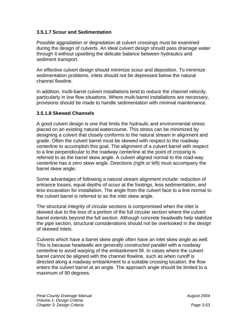#### **3.5.1.7 Scour and Sedimentation**

Possible aggradation or degradation at culvert crossings must be examined during the design of culverts. An ideal culvert design should pass drainage water through it without upsetting the delicate balance between hydraulics and sediment transport.

An effective culvert design should minimize scour and deposition. To minimize sedimentation problems, inlets should not be depressed below the natural channel flowline.

In addition, multi-barrel culvert installations tend to reduce the channel velocity, particularly in low flow situations. Where multi-barrel installations are necessary, provisions should be made to handle sedimentation with minimal maintenance.

#### **3.5.1.8 Skewed Channels**

A good culvert design is one that limits the hydraulic and environmental stress placed on an existing natural watercourse. This stress can be minimized by designing a culvert that closely conforms to the natural stream in alignment and grade. Often the culvert barrel must be skewed with respect to the roadway centerline to accomplish this goal. The alignment of a culvert barrel with respect to a line perpendicular to the roadway centerline at the point of crossing is referred to as the barrel skew angle. A culvert aligned normal to the road-way centerline has a zero skew angle. Directions (right or left) must accompany the barrel skew angle.

Some advantages of following a natural stream alignment include: reduction of entrance losses, equal depths of scour at the footings, less sedimentation, and less excavation for installation. The angle from the culvert face to a line normal to the culvert barrel is referred to as the inlet skew angle.

The structural integrity of circular sections is compromised when the inlet is skewed due to the loss of a portion of the full circular section where the culvert barrel extends beyond the full section. Although concrete headwalls help stabilize the pipe section, structural considerations should not be overlooked in the design of skewed inlets.

Culverts which have a barrel skew angle often have an inlet skew angle as well. This is because headwalls are generally constructed parallel with a roadway centerline to avoid warping of the embankment fill. In cases where the culvert barrel cannot be aligned with the channel flowline, such as when runoff is directed along a roadway embankment to a suitable crossing location, the flow enters the culvert barrel at an angle. The approach angle should be limited to a maximum of 90 degrees.

 *August 2004*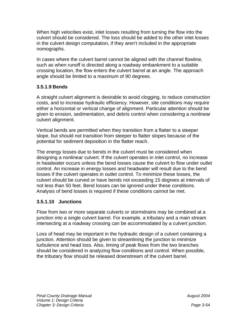When high velocities exist, inlet losses resulting from turning the flow into the culvert should be considered. The loss should be added to the other inlet losses in the culvert design computation, if they aren't included in the appropriate nomographs.

In cases where the culvert barrel cannot be aligned with the channel flowline, such as when runoff is directed along a roadway embankment to a suitable crossing location, the flow enters the culvert barrel at an angle. The approach angle should be limited to a maximum of 90 degrees.

#### **3.5.1.9 Bends**

A straight culvert alignment is desirable to avoid clogging, to reduce construction costs, and to increase hydraulic efficiency. However, site conditions may require either a horizontal or vertical change of alignment. Particular attention should be given to erosion, sedimentation, and debris control when considering a nonlinear culvert alignment.

Vertical bends are permitted when they transition from a flatter to a steeper slope, but should not transition from steeper to flatter slopes because of the potential for sediment deposition in the flatter reach.

The energy losses due to bends in the culvert must be considered when designing a nonlinear culvert. If the culvert operates in inlet control, no increase in headwater occurs unless the bend losses cause the culvert to flow under outlet control. An increase in energy losses and headwater will result due to the bend losses if the culvert operates in outlet control. To minimize these losses, the culvert should be curved or have bends not exceeding 15 degrees at intervals of not less than 50 feet. Bend losses can be ignored under these conditions. Analysis of bend losses is required if these conditions cannot be met.

#### **3.5.1.10 Junctions**

Flow from two or more separate culverts or stormdrains may be combined at a junction into a single culvert barrel. For example, a tributary and a main stream intersecting at a roadway crossing can be accommodated by a culvert junction.

Loss of head may be important in the hydraulic design of a culvert containing a junction. Attention should be given to streamlining the junction to minimize turbulence and head loss. Also, timing of peak flows from the two branches should be considered in analyzing flow conditions and control. When possible, the tributary flow should be released downstream of the culvert barrel.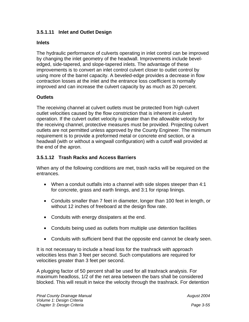#### **3.5.1.11 Inlet and Outlet Design**

#### **Inlets**

The hydraulic performance of culverts operating in inlet control can be improved by changing the inlet geometry of the headwall. Improvements include beveledged, side-tapered, and slope-tapered inlets. The advantage of these improvements is to convert an inlet control culvert closer to outlet control by using more of the barrel capacity. A beveled-edge provides a decrease in flow contraction losses at the inlet and the entrance loss coefficient is normally improved and can increase the culvert capacity by as much as 20 percent.

#### **Outlets**

The receiving channel at culvert outlets must be protected from high culvert outlet velocities caused by the flow constriction that is inherent in culvert operation. If the culvert outlet velocity is greater than the allowable velocity for the receiving channel, protective measures must be provided. Projecting culvert outlets are not permitted unless approved by the County Engineer. The minimum requirement is to provide a preformed metal or concrete end section, or a headwall (with or without a wingwall configuration) with a cutoff wall provided at the end of the apron.

#### **3.5.1.12 Trash Racks and Access Barriers**

When any of the following conditions are met, trash racks will be required on the entrances.

- When a conduit outfalls into a channel with side slopes steeper than 4:1 for concrete, grass and earth linings, and 3:1 for riprap linings.
- Conduits smaller than 7 feet in diameter, longer than 100 feet in length, or without 12 inches of freeboard at the design flow rate.
- Conduits with energy dissipaters at the end.
- Conduits being used as outlets from multiple use detention facilities
- Conduits with sufficient bend that the opposite end cannot be clearly seen.

It is not necessary to include a head loss for the trashrack with approach velocities less than 3 feet per second. Such computations are required for velocities greater than 3 feet per second.

A plugging factor of 50 percent shall be used for all trashrack analysis. For maximum headloss, 1/2 of the net area between the bars shall be considered blocked. This will result in twice the velocity through the trashrack. For detention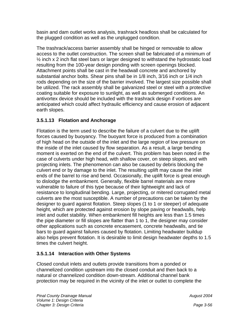basin and dam outlet works analysis, trashrack headloss shall be calculated for the plugged condition as well as the unplugged condition.

The trashrack/access barrier assembly shall be hinged or removable to allow access to the outlet construction. The screen shall be fabricated of a minimum of  $\frac{1}{2}$  inch x 2 inch flat steel bars or larger designed to withstand the hydrostatic load resulting from the 100-year design ponding with screen openings blocked. Attachment points shall be cast in the headwall concrete and anchored by substantial anchor bolts. Shear pins shall be in 1/8 inch, 3/16 inch or 1/4 inch rods depending on the size of the barrier involved. The largest size possible shall be utilized. The rack assembly shall be galvanized steel or steel with a protective coating suitable for exposure to sunlight, as well as submerged conditions. An antivortex device should be included with the trashrack design if vortices are anticipated which could affect hydraulic efficiency and cause erosion of adjacent earth slopes.

#### **3.5.1.13 Flotation and Anchorage**

Flotation is the term used to describe the failure of a culvert due to the uplift forces caused by buoyancy. The buoyant force is produced from a combination of high head on the outside of the inlet and the large region of low pressure on the inside of the inlet caused by flow separation. As a result, a large bending moment is exerted on the end of the culvert. This problem has been noted in the case of culverts under high head, with shallow cover, on steep slopes, and with projecting inlets. The phenomenon can also be caused by debris blocking the culvert end or by damage to the inlet. The resulting uplift may cause the inlet ends of the barrel to rise and bend. Occasionally, the uplift force is great enough to dislodge the embankment. Generally, flexible barrel materials are more vulnerable to failure of this type because of their lightweight and lack of resistance to longitudinal bending. Large, projecting, or mitered corrugated metal culverts are the most susceptible. A number of precautions can be taken by the designer to guard against flotation. Steep slopes (1 to 1 or steeper) of adequate height, which are protected against erosion by slope paving or headwalls, help inlet and outlet stability. When embankment fill heights are less than 1.5 times the pipe diameter or fill slopes are flatter than 1 to 1, the designer may consider other applications such as concrete encasement, concrete headwalls, and tie bars to guard against failures caused by flotation. Limiting headwater buildup also helps prevent flotation. It is desirable to limit design headwater depths to 1.5 times the culvert height.

#### **3.5.1.14 Interaction with Other Systems**

Closed conduit inlets and outlets provide transitions from a ponded or channelized condition upstream into the closed conduit and then back to a natural or channelized condition down-stream. Additional channel bank protection may be required in the vicinity of the inlet or outlet to complete the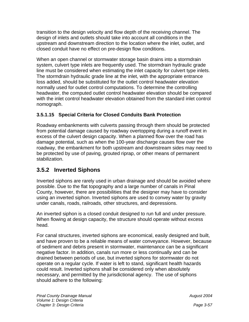transition to the design velocity and flow depth of the receiving channel. The design of inlets and outlets should take into account all conditions in the upstream and downstream direction to the location where the inlet, outlet, and closed conduit have no effect on pre-design flow conditions.

When an open channel or stormwater storage basin drains into a stormdrain system, culvert type inlets are frequently used. The stormdrain hydraulic grade line must be considered when estimating the inlet capacity for culvert type inlets. The stormdrain hydraulic grade line at the inlet, with the appropriate entrance loss added, should be substituted for the outlet control headwater elevation normally used for outlet control computations. To determine the controlling headwater, the computed outlet control headwater elevation should be compared with the inlet control headwater elevation obtained from the standard inlet control nomograph.

#### **3.5.1.15 Special Criteria for Closed Conduits Bank Protection**

Roadway embankments with culverts passing through them should be protected from potential damage caused by roadway overtopping during a runoff event in excess of the culvert design capacity. When a planned flow over the road has damage potential, such as when the 100-year discharge causes flow over the roadway, the embankment for both upstream and downstream sides may need to be protected by use of paving, grouted riprap, or other means of permanent stabilization.

### **3.5.2 Inverted Siphons**

Inverted siphons are rarely used in urban drainage and should be avoided where possible. Due to the flat topography and a large number of canals in Pinal County, however, there are possibilities that the designer may have to consider using an inverted siphon. Inverted siphons are used to convey water by gravity under canals, roads, railroads, other structures, and depressions.

An inverted siphon is a closed conduit designed to run full and under pressure. When flowing at design capacity, the structure should operate without excess head.

For canal structures, inverted siphons are economical, easily designed and built, and have proven to be a reliable means of water conveyance. However, because of sediment and debris present in stormwater, maintenance can be a significant negative factor. In addition, canals run more or less continually and can be drained between periods of use, but inverted siphons for stormwater do not operate on a regular cycle. If water is left to stand, significant health hazards could result. Inverted siphons shall be considered only when absolutely necessary, and permitted by the jurisdictional agency. The use of siphons should adhere to the following: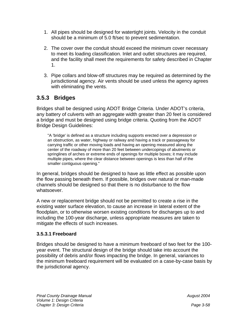- 1. All pipes should be designed for watertight joints. Velocity in the conduit should be a minimum of 5.0 ft/sec to prevent sedimentation.
- 2. The cover over the conduit should exceed the minimum cover necessary to meet its loading classification. Inlet and outlet structures are required, and the facility shall meet the requirements for safety described in Chapter 1.
- 3. Pipe collars and blow-off structures may be required as determined by the jurisdictional agency. Air vents should be used unless the agency agrees with eliminating the vents.

## **3.5.3 Bridges**

Bridges shall be designed using ADOT Bridge Criteria. Under ADOT's criteria, any battery of culverts with an aggregate width greater than 20 feet is considered a bridge and must be designed using bridge criteria. Quoting from the ADOT Bridge Design Guidelines:

"A 'bridge' is defined as a structure including supports erected over a depression or an obstruction, as water, highway or railway and having a track or passageway for carrying traffic or other moving loads and having an opening measured along the center of the roadway of more than 20 feet between undercopings of abutments or springlines of arches or extreme ends of openings for multiple boxes; it may include multiple pipes, where the clear distance between openings is less than half of the smaller contiguous opening."

In general, bridges should be designed to have as little effect as possible upon the flow passing beneath them. If possible, bridges over natural or man-made channels should be designed so that there is no disturbance to the flow whatsoever.

A new or replacement bridge should not be permitted to create a rise in the existing water surface elevation, to cause an increase in lateral extent of the floodplain, or to otherwise worsen existing conditions for discharges up to and including the 100-year discharge, unless appropriate measures are taken to mitigate the effects of such increases.

#### **3.5.3.1 Freeboard**

Bridges should be designed to have a minimum freeboard of two feet for the 100 year event. The structural design of the bridge should take into account the possibility of debris and/or flows impacting the bridge. In general, variances to the minimum freeboard requirement will be evaluated on a case-by-case basis by the jurisdictional agency.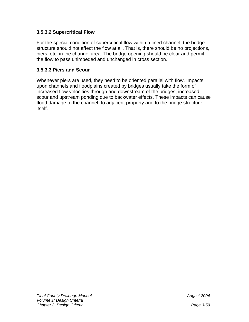#### **3.5.3.2 Supercritical Flow**

For the special condition of supercritical flow within a lined channel, the bridge structure should not affect the flow at all. That is, there should be no projections, piers, etc, in the channel area. The bridge opening should be clear and permit the flow to pass unimpeded and unchanged in cross section.

#### **3.5.3.3 Piers and Scour**

Whenever piers are used, they need to be oriented parallel with flow. Impacts upon channels and floodplains created by bridges usually take the form of increased flow velocities through and downstream of the bridges, increased scour and upstream ponding due to backwater effects. These impacts can cause flood damage to the channel, to adjacent property and to the bridge structure itself.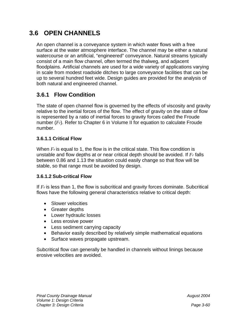## **3.6 OPEN CHANNELS**

An open channel is a conveyance system in which water flows with a free surface at the water atmosphere interface. The channel may be either a natural watercourse or an artificial, "engineered" conveyance. Natural streams typically consist of a main flow channel, often termed the thalweg, and adjacent floodplains. Artificial channels are used for a wide variety of applications varying in scale from modest roadside ditches to large conveyance facilities that can be up to several hundred feet wide. Design guides are provided for the analysis of both natural and engineered channel.

## **3.6.1 Flow Condition**

The state of open channel flow is governed by the effects of viscosity and gravity relative to the inertial forces of the flow. The effect of gravity on the state of flow is represented by a ratio of inertial forces to gravity forces called the Froude number (*Fr*). Refer to Chapter 6 in Volume II for equation to calculate Froude number.

#### **3.6.1.1 Critical Flow**

When *Fr* is equal to 1, the flow is in the critical state. This flow condition is unstable and flow depths at or near critical depth should be avoided. If *Fr* falls between 0.86 and 1.13 the situation could easily change so that flow will be stable, so that range must be avoided by design.

#### **3.6.1.2 Sub-critical Flow**

If *Fr* is less than 1, the flow is subcritical and gravity forces dominate. Subcritical flows have the following general characteristics relative to critical depth:

- Slower velocities
- Greater depths
- Lower hydraulic losses
- Less erosive power
- Less sediment carrying capacity
- Behavior easily described by relatively simple mathematical equations
- Surface waves propagate upstream.

Subcritical flow can generally be handled in channels without linings because erosive velocities are avoided.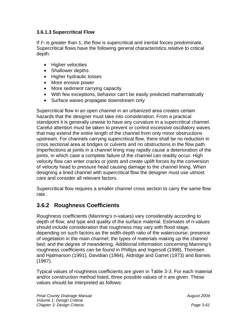#### **3.6.1.3 Supercritical Flow**

If *Fr* is greater than 1, the flow is supercritical and inertial forces predominate. Supercritical flows have the following general characteristics relative to critical depth:

- Higher velocities
- Shallower depths
- Higher hydraulic losses
- More erosive power
- More sediment carrying capacity
- With few exceptions, behavior can't be easily predicted mathematically
- Surface waves propagate downstream only

Supercritical flow in an open channel in an urbanized area creates certain hazards that the designer must take into consideration. From a practical standpoint it is generally unwise to have any curvature in a supercritical channel. Careful attention must be taken to prevent or control excessive oscillatory waves that may extend the entire length of the channel from only minor obstructions upstream. For channels carrying supercritical flow, there shall be no reduction in cross sectional area at bridges or culverts and no obstructions in the flow path. Imperfections at joints in a channel lining may rapidly cause a deterioration of the joints, in which case a complete failure of the channel can readily occur. High velocity flow can enter cracks or joints and create uplift forces by the conversion of velocity head to pressure head causing damage to the channel lining. When designing a lined channel with supercritical flow the designer must use utmost care and consider all relevant factors.

Supercritical flow requires a smaller channel cross section to carry the same flow rate.

## **3.6.2 Roughness Coefficients**

Roughness coefficients (Manning's n-values) vary considerably according to depth of flow, and type and quality of the surface material. Estimates of n-values should include consideration that roughness may vary with flood stage, depending on such factors as the width-depth ratio of the watercourse; presence of vegetation in the main channel; the types of materials making up the channel bed; and the degree of meandering. Additional information concerning Manning's roughness coefficients can be found in Phillips and Ingersoll (1998), Thomsen and Hjalmarson (1991), Davidian (1984), Aldridge and Garret (1973) and Barnes (1967).

Typical values of roughness coefficients are given in Table 3-3. For each material and/or construction method listed, three possible values of n are given. These values should be interpreted as follows: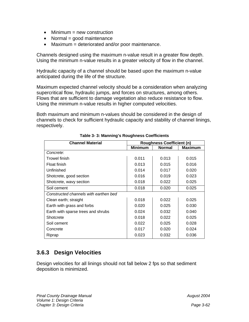- $\bullet$  Minimum = new construction
- Normal = good maintenance
- Maximum = deteriorated and/or poor maintenance.

Channels designed using the maximum n-value result in a greater flow depth. Using the minimum n-value results in a greater velocity of flow in the channel.

Hydraulic capacity of a channel should be based upon the maximum n-value anticipated during the life of the structure.

Maximum expected channel velocity should be a consideration when analyzing supercritical flow, hydraulic jumps, and forces on structures, among others. Flows that are sufficient to damage vegetation also reduce resistance to flow. Using the minimum n-value results in higher computed velocities.

Both maximum and minimum n-values should be considered in the design of channels to check for sufficient hydraulic capacity and stability of channel linings, respectively.

| <b>Channel Material</b>               | <b>Roughness Coefficient (n)</b> |               |         |  |
|---------------------------------------|----------------------------------|---------------|---------|--|
|                                       | <b>Minimum</b>                   | <b>Normal</b> | Maximum |  |
| Concrete:                             |                                  |               |         |  |
| <b>Trowel finish</b>                  | 0.011                            | 0.013         | 0.015   |  |
| Float finish                          | 0.013                            | 0.015         | 0.016   |  |
| Unfinished                            | 0.014                            | 0.017         | 0.020   |  |
| Shotcrete, good section               | 0.016                            | 0.019         | 0.023   |  |
| Shotcrete, wavy section               | 0.018                            | 0.022         | 0.025   |  |
| Soil cement                           | 0.018                            | 0.020         | 0.025   |  |
| Constructed channels with earthen bed |                                  |               |         |  |
| Clean earth; straight                 | 0.018                            | 0.022         | 0.025   |  |
| Earth with grass and forbs            | 0.020                            | 0.025         | 0.030   |  |
| Earth with sparse trees and shrubs    | 0.024                            | 0.032         | 0.040   |  |
| Shotcrete                             | 0.018                            | 0.022         | 0.025   |  |
| Soil cement                           | 0.022                            | 0.025         | 0.028   |  |
| Concrete                              | 0.017                            | 0.020         | 0.024   |  |
| Riprap                                | 0.023                            | 0.032         | 0.036   |  |

**Table 3- 3: Manning's Roughness Coefficients** 

### **3.6.3 Design Velocities**

Design velocities for all linings should not fall below 2 fps so that sediment deposition is minimized.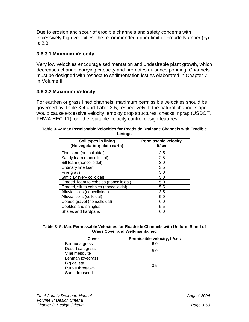Due to erosion and scour of erodible channels and safety concerns with excessively high velocities, the recommended upper limit of Froude Number  $(F<sub>r</sub>)$ is 2.0.

#### **3.6.3.1 Minimum Velocity**

Very low velocities encourage sedimentation and undesirable plant growth, which decreases channel carrying capacity and promotes nuisance ponding. Channels must be designed with respect to sedimentation issues elaborated in Chapter 7 in Volume II.

#### **3.6.3.2 Maximum Velocity**

For earthen or grass lined channels, maximum permissible velocities should be governed by Table 3-4 and Table 3-5, respectively. If the natural channel slope would cause excessive velocity, employ drop structures, checks, riprap (USDOT, FHWA HEC-11), or other suitable velocity control design features .

| Soil types in lining<br>(No vegetation; plain earth) | Permissable velocity,<br>ft/sec |
|------------------------------------------------------|---------------------------------|
| Fine sand (noncolloidal)                             | 2.5                             |
| Sandy loam (noncolloidal)                            | 2.5                             |
| Silt loam (noncolloidal)                             | 3.0                             |
| Ordinary fine loam                                   | 3.5                             |
| Fine gravel                                          | 5.0                             |
| Stiff clay (very colloidal)                          | 5.0                             |
| Graded, loam to cobbles (noncolloidal)               | 5.0                             |
| Graded, silt to cobbles (noncolloidal)               | 5.5                             |
| Alluvial soils (noncolloidal)                        | 3.5                             |
| Alluvial soils (colloidal)                           | 5.0                             |
| Coarse gravel (noncolloidal)                         | 6.0                             |
| Cobbles and shingles                                 | 5.5                             |
| Shales and hardpans                                  | 6.0                             |

| Table 3-4: Max Permissable Velocities for Roadside Drainage Channels with Erodible |
|------------------------------------------------------------------------------------|
| Linings                                                                            |

| Table 3-5: Max Permissable Velocities for Roadside Channels with Uniform Stand of |
|-----------------------------------------------------------------------------------|
| <b>Grass Cover and Well-maintained</b>                                            |

| Cover             | Permissible velocity, ft/sec |  |
|-------------------|------------------------------|--|
| Bermuda grass     | 6.0                          |  |
| Desert salt grass | 5.0                          |  |
| Vine mesquite     |                              |  |
| Lehman lovegrass  |                              |  |
| Big galleta       | 3.5                          |  |
| Purple threeawn   |                              |  |
| Sand dropseed     |                              |  |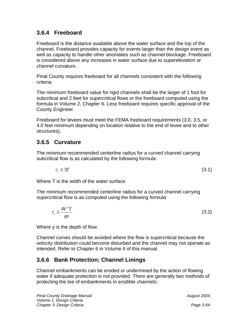## **3.6.4 Freeboard**

Freeboard is the distance available above the water surface and the top of the channel. Freeboard provides capacity for events larger than the design event as well as capacity to handle other anomalies such as channel blockage. Freeboard is considered above any increases in water surface due to superelevation or channel curvature.

Pinal County requires freeboard for all channels consistent with the following criteria:

The minimum freeboard value for rigid channels shall be the larger of 1 foot for subcritical and 2 feet for supercritical flows or the freeboard computed using the formula in Volume 2, Chapter 6. Less freeboard requires specific approval of the County Engineer.

Freeboard for levees must meet the FEMA freeboard requirements (3.0, 3.5, or 4.0 feet minimum depending on location relative to the end of levee and to other structures).

## **3.6.5 Curvature**

The minimum recommended centerline radius for a curved channel carrying subcritical flow is as calculated by the following formula:

$$
r_c \ge 3T \tag{3.1}
$$

Where T is the width of the water surface.

The minimum recommended centerline radius for a curved channel carrying supercritical flow is as computed using the following formula:

$$
r_c \ge \frac{4V^2T}{gy} \tag{3.2}
$$

Where y is the depth of flow.

Channel curves should be avoided where the flow is supercritical because the velocity distribution could become disturbed and the channel may not operate as intended. Refer to Chapter 6 in Volume II of this manual.

## **3.6.6 Bank Protection; Channel Linings**

Channel embankments can be eroded or undermined by the action of flowing water if adequate protection is not provided. There are generally two methods of protecting the toe of embankments in erodible channels: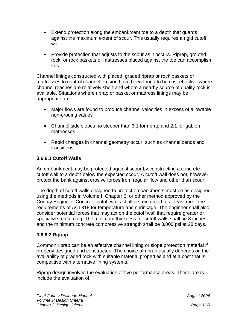- Extend protection along the embankment toe to a depth that guards against the maximum extent of scour. This usually requires a rigid cutoff wall.
- Provide protection that adjusts to the scour as it occurs. Riprap, grouted rock, or rock baskets or mattresses placed against the toe can accomplish this.

Channel linings constructed with placed, graded riprap or rock baskets or mattresses to control channel erosion have been found to be cost effective where channel reaches are relatively short and where a nearby source of quality rock is available. Situations where riprap or basket or mattress linings may be appropriate are:

- Major flows are found to produce channel velocities in excess of allowable non-eroding values
- Channel side slopes no steeper than 3:1 for riprap and 2:1 for gabion mattresses
- Rapid changes in channel geometry occur, such as channel bends and transitions

#### **3.6.6.1 Cutoff Walls**

An embankment may be protected against scour by constructing a concrete cutoff wall to a depth below the expected scour. A cutoff wall does not, however, protect the bank against erosive forces from regular flow and other than scour.

The depth of cutoff walls designed to protect embankments must be as designed using the methods in Volume II Chapter 6, or other method approved by the County Engineer. Concrete cutoff walls shall be reinforced to at least meet the requirements of ACI 318 for temperature and shrinkage. The engineer shall also consider potential forces that may act on the cutoff wall that require greater or specialize reinforcing. The minimum thickness for cutoff walls shall be 8 inches, and the minimum concrete compressive strength shall be 3,000 psi at 28 days.

#### **3.6.6.2 Riprap**

Common riprap can be an effective channel lining or slope protection material if properly designed and constructed. The choice of riprap usually depends on the availability of graded rock with suitable material properties and at a cost that is competitive with alternative lining systems.

Riprap design involves the evaluation of five performance areas. These areas include the evaluation of: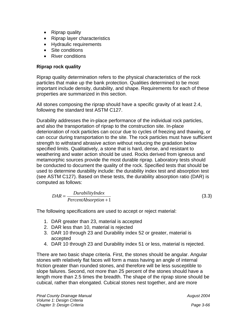- Riprap quality
- Riprap layer characteristics
- Hydraulic requirements
- Site conditions
- River conditions

#### **Riprap rock quality**

Riprap quality determination refers to the physical characteristics of the rock particles that make up the bank protection. Qualities determined to be most important include density, durability, and shape. Requirements for each of these properties are summarized in this section.

All stones composing the riprap should have a specific gravity of at least 2.4, following the standard test ASTM C127.

Durability addresses the in-place performance of the individual rock particles, and also the transportation of riprap to the construction site. In-place deterioration of rock particles can occur due to cycles of freezing and thawing, or can occur during transportation to the site. The rock particles must have sufficient strength to withstand abrasive action without reducing the gradation below specified limits. Qualitatively, a stone that is hard, dense, and resistant to weathering and water action should be used. Rocks derived from igneous and metamorphic sources provide the most durable riprap. Laboratory tests should be conducted to document the quality of the rock. Specified tests that should be used to determine durability include: the durability index test and absorption test (see ASTM C127). Based on these tests, the durability absorption ratio (DAR) is computed as follows:

$$
DAR = \frac{DuringIndex}{PercentAbsorption + 1}
$$
 (3.3)

The following specifications are used to accept or reject material:

- 1. DAR greater than 23, material is accepted
- 2. DAR less than 10, material is rejected
- 3. DAR 10 through 23 and Durability index 52 or greater, material is accepted
- 4. DAR 10 through 23 and Durability index 51 or less, material is rejected.

There are two basic shape criteria. First, the stones should be angular. Angular stones with relatively flat faces will form a mass having an angle of internal friction greater than rounded stones, and therefore will be less susceptible to slope failures. Second, not more than 25 percent of the stones should have a length more than 2.5 times the breadth. The shape of the riprap stone should be cubical, rather than elongated. Cubical stones nest together, and are more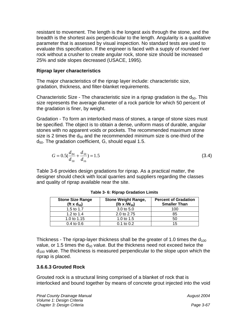resistant to movement. The length is the longest axis through the stone, and the breadth is the shortest axis perpendicular to the length. Angularity is a qualitative parameter that is assessed by visual inspection. No standard tests are used to evaluate this specification. If the engineer is faced with a supply of rounded river rock without a crusher to create angular rock, stone size should be increased 25% and side slopes decreased (USACE, 1995).

#### **Riprap layer characteristics**

The major characteristics of the riprap layer include: characteristic size, gradation, thickness, and filter-blanket requirements.

Characteristic Size - The characteristic size in a riprap gradation is the  $d_{50}$ . This size represents the average diameter of a rock particle for which 50 percent of the gradation is finer, by weight.

Gradation - To form an interlocked mass of stones, a range of stone sizes must be specified. The object is to obtain a dense, uniform mass of durable, angular stones with no apparent voids or pockets. The recommended maximum stone size is 2 times the  $d_{50}$  and the recommended minimum size is one-third of the  $d_{50}$ . The gradation coefficient, G, should equal 1.5.

$$
G = 0.5(\frac{d_{84}}{d_{50}} + \frac{d_{50}}{d_{16}}) = 1.5
$$
\n(3.4)

Table 3-6 provides design gradations for riprap. As a practical matter, the designer should check with local quarries and suppliers regarding the classes and quality of riprap available near the site.

| <b>Stone Size Range</b><br>(ft x $d_{50}$ ) | <b>Stone Weight Range,</b><br>$(Ib \times \sqrt{W_{50}})$ | <b>Percent of Gradation</b><br><b>Smaller Than</b> |
|---------------------------------------------|-----------------------------------------------------------|----------------------------------------------------|
| 1.5 to 1.7                                  | 3.0 to 5.0                                                | 100                                                |
| 1.2 to 1.4                                  | 2.0 to 2.75                                               | 85                                                 |
| 1.0 to 1.15                                 | 1.0 to $1.5$                                              | 50                                                 |
| $0.4 \text{ to } 0.6$                       | $0.1$ to $0.2$                                            | 15                                                 |

**Table 3- 6: Riprap Gradation Limits** 

Thickness - The riprap-layer thickness shall be the greater of 1.0 times the  $d_{100}$ value, or 1.5 times the  $d_{50}$  value. But the thickness need not exceed twice the  $d_{100}$  value. The thickness is measured perpendicular to the slope upon which the riprap is placed.

#### **3.6.6.3 Grouted Rock**

Grouted rock is a structural lining comprised of a blanket of rock that is interlocked and bound together by means of concrete grout injected into the void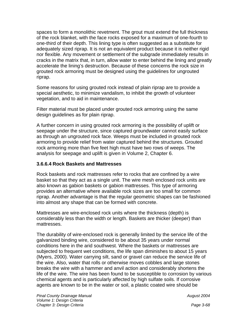spaces to form a monolithic revetment. The grout must extend the full thickness of the rock blanket, with the face rocks exposed for a maximum of one-fourth to one-third of their depth. This lining type is often suggested as a substitute for adequately sized riprap. It is not an equivalent product because it is neither rigid nor flexible. Any movement or settlement of the subgrade immediately results in cracks in the matrix that, in turn, allow water to enter behind the lining and greatly accelerate the lining's destruction. Because of these concerns the rock size in grouted rock armoring must be designed using the guidelines for ungrouted riprap.

Some reasons for using grouted rock instead of plain riprap are to provide a special aesthetic, to minimize vandalism, to inhibit the growth of volunteer vegetation, and to aid in maintenance.

Filter material must be placed under grouted rock armoring using the same design guidelines as for plain riprap.

A further concern in using grouted rock armoring is the possibility of uplift or seepage under the structure, since captured groundwater cannot easily surface as through an ungrouted rock face. Weeps must be included in grouted rock armoring to provide relief from water captured behind the structures. Grouted rock armoring more than five feet high must have two rows of weeps. The analysis for seepage and uplift is given in Volume 2, Chapter 6.

#### **3.6.6.4 Rock Baskets and Mattresses**

Rock baskets and rock mattresses refer to rocks that are confined by a wire basket so that they act as a single unit. The wire mesh enclosed rock units are also known as gabion baskets or gabion mattresses. This type of armoring provides an alternative where available rock sizes are too small for common riprap. Another advantage is that the regular geometric shapes can be fashioned into almost any shape that can be formed with concrete.

Mattresses are wire-enclosed rock units where the thickness (depth) is considerably less than the width or length. Baskets are thicker (deeper) than mattresses.

The durability of wire-enclosed rock is generally limited by the service life of the galvanized binding wire, considered to be about 35 years under normal conditions here in the arid southwest. Where the baskets or mattresses are subjected to frequent wet conditions, the life span diminishes to about 15 years (Myers, 2000). Water carrying silt, sand or gravel can reduce the service life of the wire. Also, water that rolls or otherwise moves cobbles and large stones breaks the wire with a hammer and anvil action and considerably shortens the life of the wire. The wire has been found to be susceptible to corrosion by various chemical agents and is particularly affected by high sulfate soils. If corrosive agents are known to be in the water or soil, a plastic coated wire should be

 *August 2004*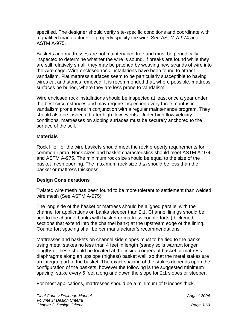specified. The designer should verify site-specific conditions and coordinate with a qualified manufacturer to properly specify the wire. See ASTM A-974 and ASTM A-975.

Baskets and mattresses are not maintenance free and must be periodically inspected to determine whether the wire is sound. If breaks are found while they are still relatively small, they may be patched by weaving new strands of wire into the wire cage. Wire-enclosed rock installations have been found to attract vandalism. Flat mattress surfaces seem to be particularly susceptible to having wires cut and stones removed. It is recommended that, where possible, mattress surfaces be buried, where they are less prone to vandalism.

Wire enclosed rock installations should be inspected at least once a year under the best circumstances and may require inspection every three months in vandalism prone areas in conjunction with a regular maintenance program. They should also be inspected after high flow events. Under high flow velocity conditions, mattresses on sloping surfaces must be securely anchored to the surface of the soil.

#### **Materials**

Rock filler for the wire baskets should meet the rock property requirements for common riprap. Rock sizes and basket characteristics should meet ASTM A-974 and ASTM A-975. The minimum rock size should be equal to the size of the basket mesh opening. The maximum rock size  $d_{100}$  should be less than the basket or mattress thickness.

#### **Design Considerations**

Twisted wire mesh has been found to be more tolerant to settlement than welded wire mesh (See ASTM A-975).

The long side of the basket or mattress should be aligned parallel with the channel for applications on banks steeper than 2:1. Channel linings should be tied to the channel banks with basket or mattress counterforts (thickened sections that extend into the channel bank) at the upstream edge of the lining. Counterfort spacing shall be per manufacturer's recommendations.

Mattresses and baskets on channel side slopes must to be tied to the banks using metal stakes no less than 4 feet in length (sandy soils warrant longer lengths). These should be located at the inside corners of basket or mattress diaphragms along an upslope (highest) basket wall, so that the metal stakes are an integral part of the basket. The exact spacing of the stakes depends upon the configuration of the baskets, however the following is the suggested minimum spacing: stake every 6 feet along and down the slope for 2:1 slopes or steeper.

For most applications, mattresses should be a minimum of 9 inches thick.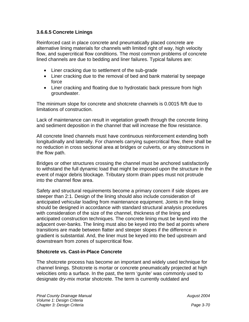#### **3.6.6.5 Concrete Linings**

Reinforced cast in place concrete and pneumatically placed concrete are alternative lining materials for channels with limited right of way, high velocity flow, and supercritical flow conditions. The most common problems of concrete lined channels are due to bedding and liner failures. Typical failures are:

- Liner cracking due to settlement of the sub-grade
- Liner cracking due to the removal of bed and bank material by seepage force
- Liner cracking and floating due to hydrostatic back pressure from high groundwater.

The minimum slope for concrete and shotcrete channels is 0.0015 ft/ft due to limitations of construction.

Lack of maintenance can result in vegetation growth through the concrete lining and sediment deposition in the channel that will increase the flow resistance.

All concrete lined channels must have continuous reinforcement extending both longitudinally and laterally. For channels carrying supercritical flow, there shall be no reduction in cross sectional area at bridges or culverts, or any obstructions in the flow path.

Bridges or other structures crossing the channel must be anchored satisfactorily to withstand the full dynamic load that might be imposed upon the structure in the event of major debris blockage. Tributary storm drain pipes must not protrude into the channel flow area.

Safety and structural requirements become a primary concern if side slopes are steeper than 2:1. Design of the lining should also include consideration of anticipated vehicular loading from maintenance equipment. Joints in the lining should be designed in accordance with standard structural analysis procedures with consideration of the size of the channel, thickness of the lining and anticipated construction techniques. The concrete lining must be keyed into the adjacent over-banks. The lining must also be keyed into the bed at points where transitions are made between flatter and steeper slopes if the difference in gradient is substantial. And, the liner must be keyed into the bed upstream and downstream from zones of supercritical flow.

#### **Shotcrete vs. Cast-in-Place Concrete**

The shotcrete process has become an important and widely used technique for channel linings. Shotcrete is mortar or concrete pneumatically projected at high velocities onto a surface. In the past, the term 'gunite' was commonly used to designate dry-mix mortar shotcrete. The term is currently outdated and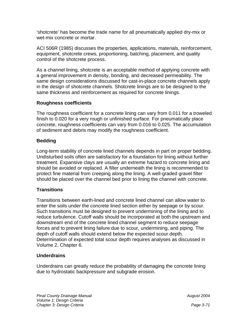'shotcrete' has become the trade name for all pneumatically applied dry-mix or wet-mix concrete or mortar.

ACI 506R (1985) discusses the properties, applications, materials, reinforcement, equipment, shotcrete crews, proportioning, batching, placement, and quality control of the shotcrete process.

As a channel lining, shotcrete is an acceptable method of applying concrete with a general improvement in density, bonding, and decreased permeability. The same design considerations discussed for cast-in-place concrete channels apply in the design of shotcrete channels. Shotcrete linings are to be designed to the same thickness and reinforcement as required for concrete linings.

#### **Roughness coefficients**

The roughness coefficient for a concrete lining can vary from 0.011 for a troweled finish to 0.020 for a very rough or unfinished surface. For pneumatically place concrete, roughness coefficients can vary from 0.016 to 0.025. The accumulation of sediment and debris may modify the roughness coefficient.

#### **Bedding**

Long-term stability of concrete lined channels depends in part on proper bedding. Undisturbed soils often are satisfactory for a foundation for lining without further treatment. Expansive clays are usually an extreme hazard to concrete lining and should be avoided or replaced. A filter underneath the lining is recommended to protect fine material from creeping along the lining. A well-graded gravel filter should be placed over the channel bed prior to lining the channel with concrete.

#### **Transitions**

Transitions between earth-lined and concrete lined channel can allow water to enter the soils under the concrete lined section either by seepage or by scour. Such transitions must be designed to prevent undermining of the lining and to reduce turbulence. Cutoff walls should be incorporated at both the upstream and downstream end of the concrete lined channel segment to reduce seepage forces and to prevent lining failure due to scour, undermining, and piping. The depth of cutoff walls should extend below the expected scour depth. Determination of expected total scour depth requires analyses as discussed in Volume 2, Chapter 6.

#### **Underdrains**

Underdrains can greatly reduce the probability of damaging the concrete lining due to hydrostatic backpressure and subgrade erosion.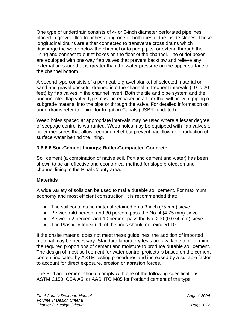One type of underdrain consists of 4- or 6-inch diameter perforated pipelines placed in gravel-filled trenches along one or both toes of the inside slopes. These longitudinal drains are either connected to transverse cross drains which discharge the water below the channel or to pump pits, or extend through the lining and connect to outlet boxes on the floor of the channel. The outlet boxes are equipped with one-way flap valves that prevent backflow and relieve any external pressure that is greater than the water pressure on the upper surface of the channel bottom.

A second type consists of a permeable gravel blanket of selected material or sand and gravel pockets, drained into the channel at frequent intervals (10 to 20 feet) by flap valves in the channel invert. Both the tile and pipe system and the unconnected flap valve type must be encased in a filter that will prevent piping of subgrade material into the pipe or through the valve. For detailed information on underdrains refer to Lining for Irrigation Canals (USBR, undated).

Weep holes spaced at appropriate intervals may be used where a lesser degree of seepage control is warranted. Weep holes may be equipped with flap valves or other measures that allow seepage relief but prevent backflow or introduction of surface water behind the lining.

## **3.6.6.6 Soil-Cement Linings; Roller-Compacted Concrete**

Soil cement (a combination of native soil, Portland cement and water) has been shown to be an effective and economical method for slope protection and channel lining in the Pinal County area.

#### **Materials**

A wide variety of soils can be used to make durable soil cement. For maximum economy and most efficient construction, it is recommended that:

- The soil contains no material retained on a 3-inch (75 mm) sieve
- Between 40 percent and 80 percent pass the No. 4 (4.75 mm) sieve
- Between 2 percent and 10 percent pass the No. 200 (0.074 mm) sieve
- The Plasticity Index (PI) of the fines should not exceed 10

If the onsite material does not meet these guidelines, the addition of imported material may be necessary. Standard laboratory tests are available to determine the required proportions of cement and moisture to produce durable soil cement. The design of most soil cement for water control projects is based on the cement content indicated by ASTM testing procedures and increased by a suitable factor to account for direct exposure, erosion or abrasion forces.

The Portland cement should comply with one of the following specifications: ASTM C150, CSA A5, or AASHTO M85 for Portland cement of the type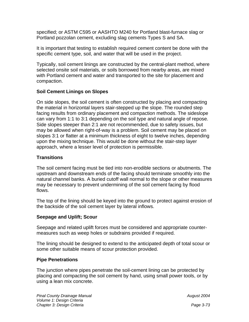specified; or ASTM C595 or AASHTO M240 for Portland blast-furnace slag or Portland pozzolan cement, excluding slag cements Types S and SA.

It is important that testing to establish required cement content be done with the specific cement type, soil, and water that will be used in the project.

Typically, soil cement linings are constructed by the central-plant method, where selected onsite soil materials, or soils borrowed from nearby areas, are mixed with Portland cement and water and transported to the site for placement and compaction.

#### **Soil Cement Linings on Slopes**

On side slopes, the soil cement is often constructed by placing and compacting the material in horizontal layers stair-stepped up the slope. The rounded step facing results from ordinary placement and compaction methods. The sideslope can vary from 1:1 to 3:1 depending on the soil type and natural angle of repose. Side slopes steeper than 2:1 are not recommended, due to safety issues, but may be allowed when right-of-way is a problem. Soil cement may be placed on slopes 3:1 or flatter at a minimum thickness of eight to twelve inches, depending upon the mixing technique. This would be done without the stair-step layer approach, where a lesser level of protection is permissible.

#### **Transitions**

The soil cement facing must be tied into non-erodible sections or abutments. The upstream and downstream ends of the facing should terminate smoothly into the natural channel banks. A buried cutoff wall normal to the slope or other measures may be necessary to prevent undermining of the soil cement facing by flood flows.

The top of the lining should be keyed into the ground to protect against erosion of the backside of the soil cement layer by lateral inflows.

#### **Seepage and Uplift; Scour**

Seepage and related uplift forces must be considered and appropriate countermeasures such as weep holes or subdrains provided if required.

The lining should be designed to extend to the anticipated depth of total scour or some other suitable means of scour protection provided.

#### **Pipe Penetrations**

The junction where pipes penetrate the soil-cement lining can be protected by placing and compacting the soil cement by hand, using small power tools, or by using a lean mix concrete.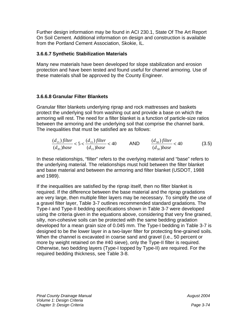Further design information may be found in ACI 230.1, State Of The Art Report On Soil Cement. Additional information on design and construction is available from the Portland Cement Association, Skokie, IL.

#### **3.6.6.7 Synthetic Stabilization Materials**

Many new materials have been developed for slope stabilization and erosion protection and have been tested and found useful for channel armoring. Use of these materials shall be approved by the County Engineer.

#### **3.6.6.8 Granular Filter Blankets**

Granular filter blankets underlying riprap and rock mattresses and baskets protect the underlying soil from washing out and provide a base on which the armoring will rest. The need for a filter blanket is a function of particle-size ratios between the armoring and the underlying soil that comprise the channel bank. The inequalities that must be satisfied are as follows:

$$
\frac{(d_{15}) filter}{(d_{85}) base} < 5 < \frac{(d_{15}) filter}{(d_{15}) base} < 40
$$
\n
$$
\text{AND} \qquad \frac{(d_{50}) filter}{(d_{50}) base} < 40 \tag{3.5}
$$

In these relationships, "filter" refers to the overlying material and "base" refers to the underlying material. The relationships must hold between the filter blanket and base material and between the armoring and filter blanket (USDOT, 1988 and 1989).

If the inequalities are satisfied by the riprap itself, then no filter blanket is required. If the difference between the base material and the riprap gradations are very large, then multiple filter layers may be necessary. To simplify the use of a gravel filter layer, Table 3-7 outlines recommended standard gradations. The Type-I and Type-II bedding specifications shown in Table 3-7 were developed using the criteria given in the equations above, considering that very fine grained, silty, non-cohesive soils can be protected with the same bedding gradation developed for a mean grain size of 0.045 mm. The Type-I bedding in Table 3-7 is designed to be the lower layer in a two-layer filter for protecting fine-grained soils. When the channel is excavated in coarse sand and gravel (i.e., 50 percent or more by weight retained on the #40 sieve), only the Type-II filter is required. Otherwise, two bedding layers (Type-I topped by Type-II) are required. For the required bedding thickness, see Table 3-8.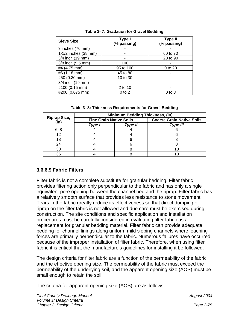| <b>Sieve Size</b>    | Type I<br>(% passing) | <b>Type II</b><br>(% passing) |
|----------------------|-----------------------|-------------------------------|
| 3 inches (76 mm)     |                       |                               |
| 1-1/2 inches (38 mm) |                       | 60 to 70                      |
| 3/4 inch (19 mm)     |                       | 20 to 90                      |
| 3/8 inch (9.5 mm)    | 100                   |                               |
| #4 (4.75 mm)         | 95 to 100             | 0 to 20                       |
| #6 (1.18 mm)         | 45 to 80              |                               |
| #50 (0.30 mm)        | 10 to 30              |                               |
| 3/4 inch (19 mm)     |                       |                               |
| #100 (0.15 mm)       | 2 to 10               |                               |
| #200 (0.075 mm)      | $0$ to $2$            | $0$ to $3$                    |

#### **Table 3- 7: Gradation for Gravel Bedding**

**Table 3- 8: Thickness Requirements for Gravel Bedding** 

| <b>Riprap Size,</b><br>(in) | <b>Minimum Bedding Thickness, (in)</b> |         |                                  |  |
|-----------------------------|----------------------------------------|---------|----------------------------------|--|
|                             | <b>Fine Grain Native Soils</b>         |         | <b>Coarse Grain Native Soils</b> |  |
|                             | Type I                                 | Type II | <b>Type III</b>                  |  |
| 6.8                         |                                        |         |                                  |  |
|                             |                                        |         |                                  |  |
|                             |                                        |         |                                  |  |
| 24                          |                                        |         |                                  |  |
| 30                          |                                        |         |                                  |  |
| 36                          |                                        |         |                                  |  |

#### **3.6.6.9 Fabric Filters**

Filter fabric is not a complete substitute for granular bedding. Filter fabric provides filtering action only perpendicular to the fabric and has only a single equivalent pore opening between the channel bed and the riprap. Filter fabric has a relatively smooth surface that provides less resistance to stone movement. Tears in the fabric greatly reduce its effectiveness so that direct dumping of riprap on the filter fabric is not allowed and due care must be exercised during construction. The site conditions and specific application and installation procedures must be carefully considered in evaluating filter fabric as a replacement for granular bedding material. Filter fabric can provide adequate bedding for channel linings along uniform mild sloping channels where leaching forces are primarily perpendicular to the fabric. Numerous failures have occurred because of the improper installation of filter fabric. Therefore, when using filter fabric it is critical that the manufacture's guidelines for installing it be followed.

The design criteria for filter fabric are a function of the permeability of the fabric and the effective opening size. The permeability of the fabric must exceed the permeability of the underlying soil, and the apparent opening size (AOS) must be small enough to retain the soil.

The criteria for apparent opening size (AOS) are as follows: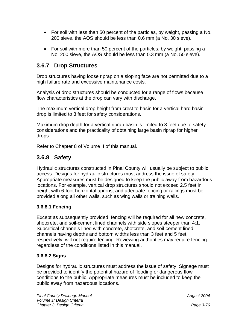- For soil with less than 50 percent of the particles, by weight, passing a No. 200 sieve, the AOS should be less than 0.6 mm (a No. 30 sieve).
- For soil with more than 50 percent of the particles, by weight, passing a No. 200 sieve, the AOS should be less than 0.3 mm (a No. 50 sieve).

# **3.6.7 Drop Structures**

Drop structures having loose riprap on a sloping face are not permitted due to a high failure rate and excessive maintenance costs.

Analysis of drop structures should be conducted for a range of flows because flow characteristics at the drop can vary with discharge.

The maximum vertical drop height from crest to basin for a vertical hard basin drop is limited to 3 feet for safety considerations.

Maximum drop depth for a vertical riprap basin is limited to 3 feet due to safety considerations and the practicality of obtaining large basin riprap for higher drops.

Refer to Chapter 8 of Volume II of this manual.

# **3.6.8 Safety**

Hydraulic structures constructed in Pinal County will usually be subject to public access. Designs for hydraulic structures must address the issue of safety. Appropriate measures must be designed to keep the public away from hazardous locations. For example, vertical drop structures should not exceed 2.5 feet in height with 6-foot horizontal aprons, and adequate fencing or railings must be provided along all other walls, such as wing walls or training walls.

#### **3.6.8.1 Fencing**

Except as subsequently provided, fencing will be required for all new concrete, shotcrete, and soil-cement lined channels with side slopes steeper than 4:1. Subcritical channels lined with concrete, shotcrete, and soil-cement lined channels having depths and bottom widths less than 3 feet and 5 feet, respectively, will not require fencing. Reviewing authorities may require fencing regardless of the conditions listed in this manual.

## **3.6.8.2 Signs**

Designs for hydraulic structures must address the issue of safety. Signage must be provided to identify the potential hazard of flooding or dangerous flow conditions to the public. Appropriate measures must be included to keep the public away from hazardous locations.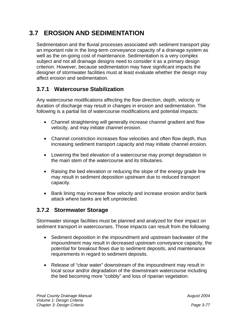# **3.7 EROSION AND SEDIMENTATION**

Sedimentation and the fluvial processes associated with sediment transport play an important role in the long-term conveyance capacity of a drainage system as well as the on-going cost of maintenance. Sedimentation is a very complex subject and not all drainage designs need to consider it as a primary design criterion. However, because sedimentation may have significant impacts the designer of stormwater facilities must at least evaluate whether the design may affect erosion and sedimentation.

# **3.7.1 Watercourse Stabilization**

Any watercourse modifications affecting the flow direction, depth, velocity or duration of discharge may result in changes in erosion and sedimentation. The following is a partial list of watercourse modifications and potential impacts:

- Channel straightening will generally increase channel gradient and flow velocity, and may initiate channel erosion.
- Channel constriction increases flow velocities and often flow depth, thus increasing sediment transport capacity and may initiate channel erosion.
- Lowering the bed elevation of a watercourse may prompt degradation in the main stem of the watercourse and its tributaries.
- Raising the bed elevation or reducing the slope of the energy grade line may result in sediment deposition upstream due to reduced transport capacity.
- Bank lining may increase flow velocity and increase erosion and/or bank attack where banks are left unprotected.

# **3.7.2 Stormwater Storage**

Stormwater storage facilities must be planned and analyzed for their impact on sediment transport in watercourses. Those impacts can result from the following:

- Sediment deposition in the impoundment and upstream backwater of the impoundment may result in decreased upstream conveyance capacity, the potential for breakout flows due to sediment deposits, and maintenance requirements in regard to sediment deposits.
- Release of "clear water" downstream of the impoundment may result in local scour and/or degradation of the downstream watercourse including the bed becoming more "cobbly" and loss of riparian vegetation.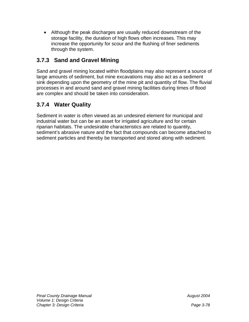• Although the peak discharges are usually reduced downstream of the storage facility, the duration of high flows often increases. This may increase the opportunity for scour and the flushing of finer sediments through the system.

# **3.7.3 Sand and Gravel Mining**

Sand and gravel mining located within floodplains may also represent a source of large amounts of sediment, but mine excavations may also act as a sediment sink depending upon the geometry of the mine pit and quantity of flow. The fluvial processes in and around sand and gravel mining facilities during times of flood are complex and should be taken into consideration.

# **3.7.4 Water Quality**

Sediment in water is often viewed as an undesired element for municipal and industrial water but can be an asset for irrigated agriculture and for certain riparian habitats. The undesirable characteristics are related to quantity, sediment's abrasive nature and the fact that compounds can become attached to sediment particles and thereby be transported and stored along with sediment.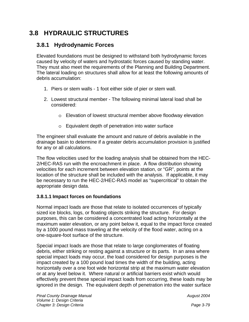# **3.8 HYDRAULIC STRUCTURES**

# **3.8.1 Hydrodynamic Forces**

Elevated foundations must be designed to withstand both hydrodynamic forces caused by velocity of waters and hydrostatic forces caused by standing water. They must also meet the requirements of the Planning and Building Department. The lateral loading on structures shall allow for at least the following amounts of debris accumulation:

- 1. Piers or stem walls 1 foot either side of pier or stem wall.
- 2. Lowest structural member The following minimal lateral load shall be considered:
	- o Elevation of lowest structural member above floodway elevation
	- o Equivalent depth of penetration into water surface

The engineer shall evaluate the amount and nature of debris available in the drainage basin to determine if a greater debris accumulation provision is justified for any or all calculations.

The flow velocities used for the loading analysis shall be obtained from the HEC-2/HEC-RAS run with the encroachment in place. A flow distribution showing velocities for each increment between elevation station, or "GR", points at the location of the structure shall be included with the analysis. If applicable, it may be necessary to run the HEC-2/HEC-RAS model as "supercritical" to obtain the appropriate design data.

#### **3.8.1.1 Impact forces on foundations**

Normal impact loads are those that relate to isolated occurrences of typically sized ice blocks, logs, or floating objects striking the structure. For design purposes, this can be considered a concentrated load acting horizontally at the maximum water elevation, or any point below it, equal to the impact force created by a 1000 pound mass traveling at the velocity of the flood water, acting on a one-square-foot surface of the structure.

Special impact loads are those that relate to large conglomerates of floating debris, either striking or resting against a structure or its parts. In an area where special impact loads may occur, the load considered for design purposes is the impact created by a 100 pound load times the width of the building, acting horizontally over a one foot wide horizontal strip at the maximum water elevation or at any level below it. Where natural or artificial barriers exist which would effectively prevent these special impact loads from occurring, these loads may be ignored in the design. The equivalent depth of penetration into the water surface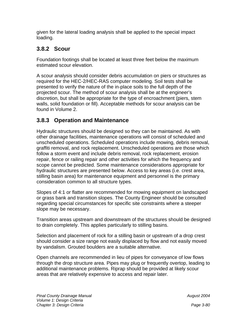given for the lateral loading analysis shall be applied to the special impact loading.

# **3.8.2 Scour**

Foundation footings shall be located at least three feet below the maximum estimated scour elevation.

A scour analysis should consider debris accumulation on piers or structures as required for the HEC-2/HEC-RAS computer modeling. Soil tests shall be presented to verify the nature of the in-place soils to the full depth of the projected scour. The method of scour analysis shall be at the engineer's discretion, but shall be appropriate for the type of encroachment (piers, stem walls, solid foundation or fill). Acceptable methods for scour analysis can be found in Volume 2.

# **3.8.3 Operation and Maintenance**

Hydraulic structures should be designed so they can be maintained. As with other drainage facilities, maintenance operations will consist of scheduled and unscheduled operations. Scheduled operations include mowing, debris removal, graffiti removal, and rock replacement. Unscheduled operations are those which follow a storm event and include debris removal, rock replacement, erosion repair, fence or railing repair and other activities for which the frequency and scope cannot be predicted. Some maintenance considerations appropriate for hydraulic structures are presented below. Access to key areas (i.e. crest area, stilling basin area) for maintenance equipment and personnel is the primary consideration common to all structure types.

Slopes of 4:1 or flatter are recommended for mowing equipment on landscaped or grass bank and transition slopes. The County Engineer should be consulted regarding special circumstances for specific site constraints where a steeper slope may be necessary.

Transition areas upstream and downstream of the structures should be designed to drain completely. This applies particularly to stilling basins.

Selection and placement of rock for a stilling basin or upstream of a drop crest should consider a size range not easily displaced by flow and not easily moved by vandalism. Grouted boulders are a suitable alternative.

Open channels are recommended in lieu of pipes for conveyance of low flows through the drop structure area. Pipes may plug or frequently overtop, leading to additional maintenance problems. Riprap should be provided at likely scour areas that are relatively expensive to access and repair later.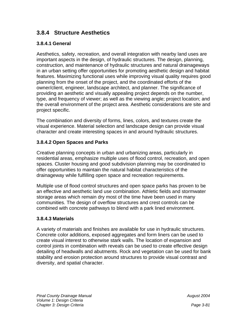# **3.8.4 Structure Aesthetics**

#### **3.8.4.1 General**

Aesthetics, safety, recreation, and overall integration with nearby land uses are important aspects in the design, of hydraulic structures. The design, planning, construction, and maintenance of hydraulic structures and natural drainageways in an urban setting offer opportunities for promoting aesthetic design and habitat features. Maximizing functional uses while improving visual quality requires good planning from the onset of the project, and the coordinated efforts of the owner/client, engineer, landscape architect, and planner. The significance of providing an aesthetic and visually appealing project depends on the number, type, and frequency of viewer; as well as the viewing angle; project location; and the overall environment of the project area. Aesthetic considerations are site and project specific.

The combination and diversity of forms, lines, colors, and textures create the visual experience. Material selection and landscape design can provide visual character and create interesting spaces in and around hydraulic structures.

#### **3.8.4.2 Open Spaces and Parks**

Creative planning concepts in urban and urbanizing areas, particularly in residential areas, emphasize multiple uses of flood control, recreation, and open spaces. Cluster housing and good subdivision planning may be coordinated to offer opportunities to maintain the natural habitat characteristics of the drainageway while fulfilling open space and recreation requirements.

Multiple use of flood control structures and open space parks has proven to be an effective and aesthetic land use combination. Athletic fields and stormwater storage areas which remain dry most of the time have been used in many communities. The design of overflow structures and crest controls can be combined with concrete pathways to blend with a park lined environment.

#### **3.8.4.3 Materials**

A variety of materials and finishes are available for use in hydraulic structures. Concrete color additions, exposed aggregates and form liners can be used to create visual interest to otherwise stark walls. The location of expansion and control joints in combination with reveals can be used to create effective design detailing of headwalls and abutments. Rock and vegetation can be used for bank stability and erosion protection around structures to provide visual contrast and diversity, and spatial character.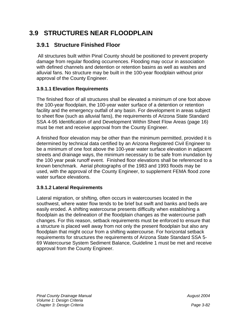# **3.9 STRUCTURES NEAR FLOODPLAIN**

# **3.9.1 Structure Finished Floor**

 All structures built within Pinal County should be positioned to prevent property damage from regular flooding occurrences. Flooding may occur in association with defined channels and detention or retention basins as well as washes and alluvial fans. No structure may be built in the 100-year floodplain without prior approval of the County Engineer.

#### **3.9.1.1 Elevation Requirements**

The finished floor of all structures shall be elevated a minimum of one foot above the 100-year floodplain, the 100-year water surface of a detention or retention facility and the emergency outfall of any basin. For development in areas subject to sheet flow (such as alluvial fans), the requirements of Arizona State Standard SSA 4-95 Identification of and Development Within Sheet Flow Areas (page 16) must be met and receive approval from the County Engineer.

A finished floor elevation may be other than the minimum permitted, provided it is determined by technical data certified by an Arizona Registered Civil Engineer to be a minimum of one foot above the 100-year water surface elevation in adjacent streets and drainage ways, the minimum necessary to be safe from inundation by the 100 year peak runoff event. Finished floor elevations shall be referenced to a known benchmark. Aerial photographs of the 1983 and 1993 floods may be used, with the approval of the County Engineer, to supplement FEMA flood zone water surface elevations.

#### **3.9.1.2 Lateral Requirements**

Lateral migration, or shifting, often occurs in watercourses located in the southwest, where water flow tends to be brief but swift and banks and beds are easily eroded. A shifting watercourse presents difficulty when establishing a floodplain as the delineation of the floodplain changes as the watercourse path changes. For this reason, setback requirements must be enforced to ensure that a structure is placed well away from not only the present floodplain but also any floodplain that might occur from a shifting watercourse. For horizontal setback requirements for structures the requirements of Arizona State Standard SSA 5- 69 Watercourse System Sediment Balance, Guideline 1 must be met and receive approval from the County Engineer.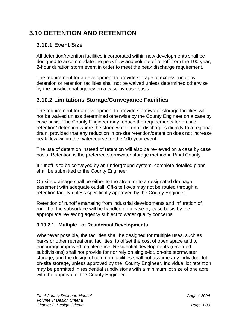# **3.10 DETENTION AND RETENTION**

# **3.10.1 Event Size**

All detention/retention facilities incorporated within new developments shall be designed to accommodate the peak flow and volume of runoff from the 100-year, 2-hour duration storm event in order to meet the peak discharge requirement.

The requirement for a development to provide storage of excess runoff by detention or retention facilities shall not be waived unless determined otherwise by the jurisdictional agency on a case-by-case basis.

# **3.10.2 Limitations Storage/Conveyance Facilities**

The requirement for a development to provide stormwater storage facilities will not be waived unless determined otherwise by the County Engineer on a case by case basis. The County Engineer may reduce the requirements for on-site retention/ detention where the storm water runoff discharges directly to a regional drain, provided that any reduction in on-site retention/detention does not increase peak flow within the watercourse for the 100-year event.

The use of detention instead of retention will also be reviewed on a case by case basis. Retention is the preferred stormwater storage method in Pinal County.

If runoff is to be conveyed by an underground system, complete detailed plans shall be submitted to the County Engineer.

On-site drainage shall be either to the street or to a designated drainage easement with adequate outfall. Off-site flows may not be routed through a retention facility unless specifically approved by the County Engineer.

Retention of runoff emanating from industrial developments and infiltration of runoff to the subsurface will be handled on a case-by-case basis by the appropriate reviewing agency subject to water quality concerns.

## **3.10.2.1 Multiple Lot Residential Developments**

Whenever possible, the facilities shall be designed for multiple uses, such as parks or other recreational facilities, to offset the cost of open space and to encourage improved maintenance. Residential developments (recorded subdivisions) shall not provide for nor rely on single-lot, on-site stormwater storage, and the design of common facilities shall not assume any individual lot on-site storage, unless approved by the County Engineer. Individual lot retention may be permitted in residential subdivisions with a minimum lot size of one acre with the approval of the County Engineer.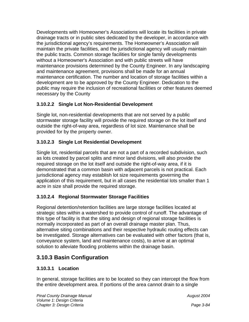Developments with Homeowner's Associations will locate its facilities in private drainage tracts or in public sites dedicated by the developer, in accordance with the jurisdictional agency's requirements. The Homeowner's Association will maintain the private facilities, and the jurisdictional agency will usually maintain the public tracts. Common storage facilities for single family developments without a Homeowner's Association and with public streets will have maintenance provisions determined by the County Engineer. In any landscaping and maintenance agreement, provisions shall be made for an annual maintenance certification. The number and location of storage facilities within a development are to be approved by the County Engineer. Dedication to the public may require the inclusion of recreational facilities or other features deemed necessary by the County

# **3.10.2.2 Single Lot Non-Residential Development**

Single lot, non-residential developments that are not served by a public stormwater storage facility will provide the required storage on the lot itself and outside the right-of-way area, regardless of lot size. Maintenance shall be provided for by the property owner.

# **3.10.2.3 Single Lot Residential Development**

Single lot, residential parcels that are not a part of a recorded subdivision, such as lots created by parcel splits and minor land divisions, will also provide the required storage on the lot itself and outside the right-of-way area, if it is demonstrated that a common basin with adjacent parcels is not practical. Each jurisdictional agency may establish lot size requirements governing the application of this requirement, but in all cases the residential lots smaller than 1 acre in size shall provide the required storage.

# **3.10.2.4 Regional Stormwater Storage Facilities**

Regional detention/retention facilities are large storage facilities located at strategic sites within a watershed to provide control of runoff. The advantage of this type of facility is that the siting and design of regional storage facilities is normally incorporated as part of an overall drainage master plan. Thus, alternative siting combinations and their respective hydraulic routing effects can be investigated. Storage alternatives can be evaluated with other factors (that is, conveyance system, land and maintenance costs), to arrive at an optimal solution to alleviate flooding problems within the drainage basin.

# **3.10.3 Basin Configuration**

## **3.10.3.1 Location**

In general, storage facilities are to be located so they can intercept the flow from the entire development area. If portions of the area cannot drain to a single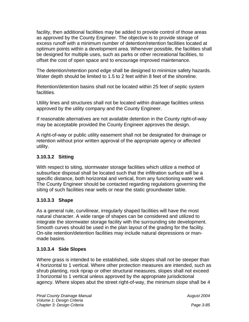facility, then additional facilities may be added to provide control of those areas as approved by the County Engineer. The objective is to provide storage of excess runoff with a minimum number of detention/retention facilities located at optimum points within a development area. Whenever possible, the facilities shall be designed for multiple uses, such as parks or other recreational facilities, to offset the cost of open space and to encourage improved maintenance.

The detention/retention pond edge shall be designed to minimize safety hazards. Water depth should be limited to 1.5 to 2 feet within 8 feet of the shoreline.

Retention/detention basins shall not be located within 25 feet of septic system facilities.

Utility lines and structures shall not be located within drainage facilities unless approved by the utility company and the County Engineer.

If reasonable alternatives are not available detention in the County right-of-way may be acceptable provided the County Engineer approves the design.

A right-of-way or public utility easement shall not be designated for drainage or retention without prior written approval of the appropriate agency or affected utility.

## **3.10.3.2 Sitting**

With respect to siting, stormwater storage facilities which utilize a method of subsurface disposal shall be located such that the infiltration surface will be a specific distance, both horizontal and vertical, from any functioning water well. The County Engineer should be contacted regarding regulations governing the siting of such facilities near wells or near the static groundwater table.

#### **3.10.3.3 Shape**

As a general rule, curvilinear, irregularly shaped facilities will have the most natural character. A wide range of shapes can be considered and utilized to integrate the stormwater storage facility with the surrounding site development. Smooth curves should be used in the plan layout of the grading for the facility. On-site retention/detention facilities may include natural depressions or manmade basins.

#### **3.10.3.4 Side Slopes**

Where grass is intended to be established, side slopes shall not be steeper than 4 horizontal to 1 vertical. Where other protection measures are intended, such as shrub planting, rock riprap or other structural measures, slopes shall not exceed 3 horizontal to 1 vertical unless approved by the appropriate jurisdictional agency. Where slopes abut the street right-of-way, the minimum slope shall be 4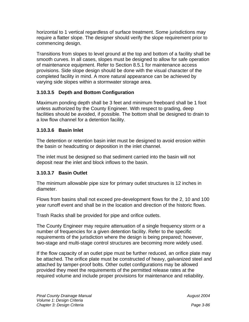horizontal to 1 vertical regardless of surface treatment. Some jurisdictions may require a flatter slope. The designer should verify the slope requirement prior to commencing design.

Transitions from slopes to level ground at the top and bottom of a facility shall be smooth curves. In all cases, slopes must be designed to allow for safe operation of maintenance equipment. Refer to Section 8.5.1 for maintenance access provisions. Side slope design should be done with the visual character of the completed facility in mind. A more natural appearance can be achieved by varying side slopes within a stormwater storage area.

## **3.10.3.5 Depth and Bottom Configuration**

Maximum ponding depth shall be 3 feet and minimum freeboard shall be 1 foot unless authorized by the County Engineer. With respect to grading, deep facilities should be avoided, if possible. The bottom shall be designed to drain to a low flow channel for a detention facility.

## **3.10.3.6 Basin Inlet**

The detention or retention basin inlet must be designed to avoid erosion within the basin or headcutting or deposition in the inlet channel.

The inlet must be designed so that sediment carried into the basin will not deposit near the inlet and block inflows to the basin.

## **3.10.3.7 Basin Outlet**

The minimum allowable pipe size for primary outlet structures is 12 inches in diameter.

Flows from basins shall not exceed pre-development flows for the 2, 10 and 100 year runoff event and shall be in the location and direction of the historic flows.

Trash Racks shall be provided for pipe and orifice outlets.

The County Engineer may require attenuation of a single frequency storm or a number of frequencies for a given detention facility. Refer to the specific requirements of the jurisdiction where the design is being prepared; however, two-stage and multi-stage control structures are becoming more widely used.

If the flow capacity of an outlet pipe must be further reduced, an orifice plate may be attached. The orifice plate must be constructed of heavy, galvanized steel and attached by tamper-proof bolts. Other outlet configurations may be allowed provided they meet the requirements of the permitted release rates at the required volume and include proper provisions for maintenance and reliability.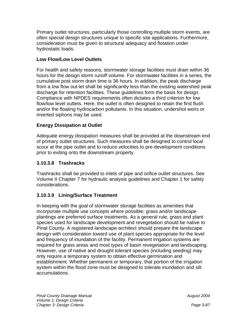Primary outlet structures, particularly those controlling multiple storm events, are often special design structures unique to specific site applications. Furthermore, consideration must be given to structural adequacy and flotation under hydrostatic loads.

#### **Low Flow/Low Level Outlets**

For health and safety reasons, stormwater storage facilities must drain within 36 hours for the design storm runoff volume. For stormwater facilities in a series, the cumulative post storm drain time is 36 hours. In addition, the peak discharge from a low flow out-let shall be significantly less than the existing watershed peak discharge for retention facilities. These guidelines form the basis for design. Compliance with NPDES requirements often dictates a third criterion for low flow/low level outlets. Here, the outlet is often designed to retain the first flush and/or the floating hydrocarbon pollutants. In this situation, undershot weirs or inverted siphons may be used.

## **Energy Dissipation at Outlet**

Adequate energy dissipation measures shall be provided at the downstream end of primary outlet structures. Such measures shall be designed to control local scour at the pipe outlet and to reduce velocities to pre-development conditions prior to exiting onto the downstream property.

## **3.10.3.8 Trashracks**

Trashracks shall be provided to inlets of pipe and orifice outlet structures. See Volume II Chapter 7 for hydraulic analysis guidelines and Chapter 1 for safety considerations.

## **3.10.3.9 Lining/Surface Treatment**

In keeping with the goal of stormwater storage facilities as amenities that incorporate multiple use concepts where possible, grass and/or landscape plantings are preferred surface treatments. As a general rule, grass and plant species used for landscape development and revegetation should be native to Pinal County. A registered landscape architect should prepare the landscape design with consideration toward use of plant species appropriate for the level and frequency of inundation of the facility. Permanent irrigation systems are required for grass areas and most types of basin revegetation and landscaping. However, use of native and drought tolerant species (including seeding) may only require a temporary system to obtain effective germination and establishment. Whether permanent or temporary, that portion of the irrigation system within the flood zone must be designed to tolerate inundation and silt accumulations.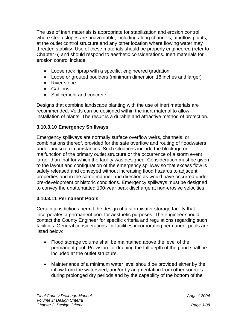The use of inert materials is appropriate for stabilization and erosion control where steep slopes are unavoidable, including along channels, at inflow points, at the outlet control structure and any other location where flowing water may threaten stability. Use of these materials should be properly engineered (refer to Chapter 6) and should respond to aesthetic considerations. Inert materials for erosion control include:

- Loose rock riprap with a specific, engineered gradation
- Loose or grouted boulders (minimum dimension 18 inches and larger)
- River stone
- Gabions
- Soil cement and concrete

Designs that combine landscape planting with the use of inert materials are recommended. Voids can be designed within the inert material to allow installation of plants. The result is a durable and attractive method of protection.

## **3.10.3.10 Emergency Spillways**

Emergency spillways are normally surface overflow weirs, channels, or combinations thereof, provided for the safe overflow and routing of floodwaters under unusual circumstances. Such situations include the blockage or malfunction of the primary outlet structure or the occurrence of a storm event larger than that for which the facility was designed. Consideration must be given to the layout and configuration of the emergency spillway so that excess flow is safely released and conveyed without increasing flood hazards to adjacent properties and in the same manner and direction as would have occurred under pre-development or historic conditions. Emergency spillways must be designed to convey the unattenuated 100-year peak discharge at non-erosive velocities.

#### **3.10.3.11 Permanent Pools**

Certain jurisdictions permit the design of a stormwater storage facility that incorporates a permanent pool for aesthetic purposes. The engineer should contact the County Engineer for specific criteria and regulations regarding such facilities. General considerations for facilities incorporating permanent pools are listed below:

- Flood storage volume shall be maintained above the level of the permanent pool. Provision for draining the full depth of the pond shall be included at the outlet structure.
- Maintenance of a minimum water level should be provided either by the inflow from the watershed, and/or by augmentation from other sources during prolonged dry periods and by the capability of the bottom of the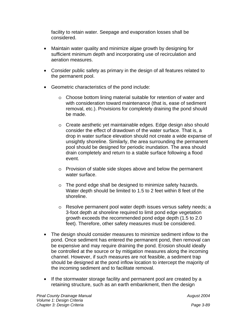facility to retain water. Seepage and evaporation losses shall be considered.

- Maintain water quality and minimize algae growth by designing for sufficient minimum depth and incorporating use of recirculation and aeration measures.
- Consider public safety as primary in the design of all features related to the permanent pool.
- Geometric characteristics of the pond include:
	- o Choose bottom lining material suitable for retention of water and with consideration toward maintenance (that is, ease of sediment removal, etc.). Provisions for completely draining the pond should be made.
	- o Create aesthetic yet maintainable edges. Edge design also should consider the effect of drawdown of the water surface. That is, a drop in water surface elevation should not create a wide expanse of unsightly shoreline. Similarly, the area surrounding the permanent pool should be designed for periodic inundation. The area should drain completely and return to a stable surface following a flood event.
	- o Provision of stable side slopes above and below the permanent water surface.
	- o The pond edge shall be designed to minimize safety hazards. Water depth should be limited to 1.5 to 2 feet within 8 feet of the shoreline.
	- o Resolve permanent pool water depth issues versus safety needs; a 3-foot depth at shoreline required to limit pond edge vegetation growth exceeds the recommended pond edge depth (1.5 to 2.0 feet). Therefore, other safety measures must be considered.
- The design should consider measures to minimize sediment inflow to the pond. Once sediment has entered the permanent pond, then removal can be expensive and may require draining the pond. Erosion should ideally be controlled at the source or by mitigation measures along the incoming channel. However, if such measures are not feasible, a sediment trap should be designed at the pond inflow location to intercept the majority of the incoming sediment and to facilitate removal.
- If the stormwater storage facility and permanent pool are created by a retaining structure, such as an earth embankment, then the design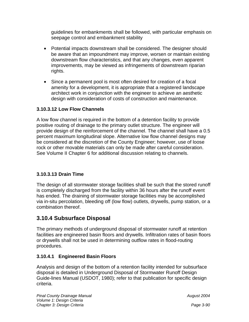guidelines for embankments shall be followed, with particular emphasis on seepage control and embankment stability

- Potential impacts downstream shall be considered. The designer should be aware that an impoundment may improve, worsen or maintain existing downstream flow characteristics, and that any changes, even apparent improvements, may be viewed as infringements of downstream riparian rights.
- Since a permanent pool is most often desired for creation of a focal amenity for a development, it is appropriate that a registered landscape architect work in conjunction with the engineer to achieve an aesthetic design with consideration of costs of construction and maintenance.

## **3.10.3.12 Low Flow Channels**

A low flow channel is required in the bottom of a detention facility to provide positive routing of drainage to the primary outlet structure. The engineer will provide design of the reinforcement of the channel. The channel shall have a 0.5 percent maximum longitudinal slope. Alternative low flow channel designs may be considered at the discretion of the County Engineer; however, use of loose rock or other movable materials can only be made after careful consideration. See Volume II Chapter 6 for additional discussion relating to channels.

## **3.10.3.13 Drain Time**

The design of all stormwater storage facilities shall be such that the stored runoff is completely discharged from the facility within 36 hours after the runoff event has ended. The draining of stormwater storage facilities may be accomplished via in-situ percolation, bleeding off (low flow) outlets, drywells, pump station, or a combination thereof.

# **3.10.4 Subsurface Disposal**

The primary methods of underground disposal of stormwater runoff at retention facilities are engineered basin floors and drywells. Infiltration rates of basin floors or drywells shall not be used in determining outflow rates in flood-routing procedures.

## **3.10.4.1 Engineered Basin Floors**

Analysis and design of the bottom of a retention facility intended for subsurface disposal is detailed in Underground Disposal of Stormwater Runoff Design Guide-lines Manual (USDOT, 1980); refer to that publication for specific design criteria.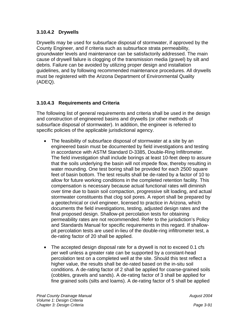## **3.10.4.2 Drywells**

Drywells may be used for subsurface disposal of stormwater, if approved by the County Engineer, and if criteria such as subsurface strata permeability, groundwater levels and maintenance can be satisfactorily addressed. The main cause of drywell failure is clogging of the transmission media (gravel) by silt and debris. Failure can be avoided by utilizing proper design and installation guidelines, and by following recommended maintenance procedures. All drywells must be registered with the Arizona Department of Environmental Quality (ADEQ).

#### **3.10.4.3 Requirements and Criteria**

The following list of general requirements and criteria shall be used in the design and construction of engineered basins and drywells (or other methods of subsurface disposal of stormwater). In addition, the engineer is referred to specific policies of the applicable jurisdictional agency.

- The feasibility of subsurface disposal of stormwater at a site by an engineered basin must be documented by field investigations and testing in accordance with ASTM Standard D-3385, Double-Ring Infiltrometer. The field investigation shall include borings at least 10-feet deep to assure that the soils underlying the basin will not impede flow, thereby resulting in water mounding. One test boring shall be provided for each 2500 square feet of basin bottom. The test results shall be de-rated by a factor of 10 to allow for future working conditions in the completed retention facility. This compensation is necessary because actual functional rates will diminish over time due to basin soil compaction, progressive silt loading, and actual stormwater constituents that clog soil pores. A report shall be prepared by a geotechnical or civil engineer, licensed to practice in Arizona, which documents the field investigations, testing, adjusted design rates and the final proposed design. Shallow-pit percolation tests for obtaining permeability rates are not recommended. Refer to the jurisdiction's Policy and Standards Manual for specific requirements in this regard. If shallowpit percolation tests are used in-lieu of the double-ring infiltrometer test, a de-rating factor of 20 shall be applied.
- The accepted design disposal rate for a drywell is not to exceed 0.1 cfs per well unless a greater rate can be supported by a constant-head percolation test on a completed well at the site. Should this test reflect a higher value, the results shall be de-rated based on the in-situ soil conditions. A de-rating factor of 2 shall be applied for coarse-grained soils (cobbles, gravels and sands). A de-rating factor of 3 shall be applied for fine grained soils (silts and loams). A de-rating factor of 5 shall be applied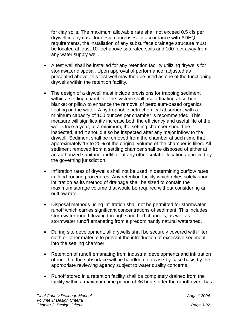for clay soils. The maximum allowable rate shall not exceed 0.5 cfs per drywell in any case for design purposes. In accordance with ADEQ requirements, the installation of any subsurface drainage structure must be located at least 10-feet above saturated soils and 100-feet away from any water supply well.

- A test well shall be installed for any retention facility utilizing drywells for stormwater disposal. Upon approval of performance, adjusted as presented above, this test well may then be used as one of the functioning drywells within the retention facility.
- The design of a drywell must include provisions for trapping sediment within a settling chamber. The system shall use a floating absorbent blanket or pillow to enhance the removal of petroleum-based organics floating on the water. A hydrophobic petrochemical absorbent with a minimum capacity of 100 ounces per chamber is recommended. This measure will significantly increase both the efficiency and useful life of the well. Once a year, at a minimum, the settling chamber should be inspected, and it should also be inspected after any major inflow to the drywell. Sediment shall be removed from the chamber at such time that approximately 15 to 20% of the original volume of the chamber is filled. All sediment removed from a settling chamber shall be disposed of either at an authorized sanitary landfill or at any other suitable location approved by the governing jurisdiction.
- Infiltration rates of drywells shall not be used in determining outflow rates in flood-routing procedures. Any retention facility which relies solely upon infiltration as its method of drainage shall be sized to contain the maximum storage volume that would be required without considering an outflow rate.
- Disposal methods using infiltration shall not be permitted for stormwater runoff which carries significant concentrations of sediment. This includes stormwater runoff flowing through sand bed channels, as well as stormwater runoff emanating from a predominantly natural watershed.
- During site development, all drywells shall be securely covered with filter cloth or other material to prevent the introduction of excessive sediment into the settling chamber.
- Retention of runoff emanating from industrial developments and infiltration of runoff to the subsurface will be handled on a case-by-case basis by the appropriate reviewing agency subject to water quality concerns.
- Runoff stored in a retention facility shall be completely drained from the facility within a maximum time period of 36 hours after the runoff event has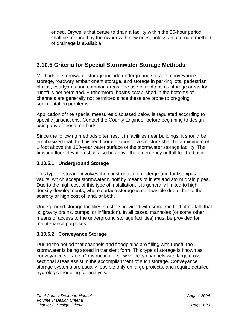ended. Drywells that cease to drain a facility within the 36-hour period shall be replaced by the owner with new ones, unless an alternate method of drainage is available.

# **3.10.5 Criteria for Special Stormwater Storage Methods**

Methods of stormwater storage include underground storage, conveyance storage, roadway embankment storage, and storage in parking lots, pedestrian plazas, courtyards and common areas.The use of rooftops as storage areas for runoff is not permitted. Furthermore, basins established in the bottoms of channels are generally not permitted since these are prone to on-going sedimentation problems.

Application of the special measures discussed below is regulated according to specific jurisdictions. Contact the County Engineer before beginning to design using any of these methods.

Since the following methods often result in facilities near buildings, it should be emphasized that the finished floor elevation of a structure shall be a minimum of 1 foot above the 100-year water surface of the stormwater storage facility. The finished floor elevation shall also be above the emergency outfall for the basin.

## **3.10.5.1 Underground Storage**

This type of storage involves the construction of underground tanks, pipes, or vaults, which accept stormwater runoff by means of inlets and storm drain pipes. Due to the high cost of this type of installation, it is generally limited to highdensity developments, where surface storage is not feasible due either to the scarcity or high cost of land, or both.

Underground storage facilities must be provided with some method of outfall (that is, gravity drains, pumps, or infiltration). In all cases, manholes (or some other means of access to the underground storage facilities) must be provided for maintenance purposes.

## **3.10.5.2 Conveyance Storage**

During the period that channels and floodplains are filling with runoff, the stormwater is being stored in transient form. This type of storage is known as conveyance storage. Construction of slow velocity channels with large cross sectional areas assist in the accomplishment of such storage. Conveyance storage systems are usually feasible only on large projects, and require detailed hydrologic modeling for analysis.